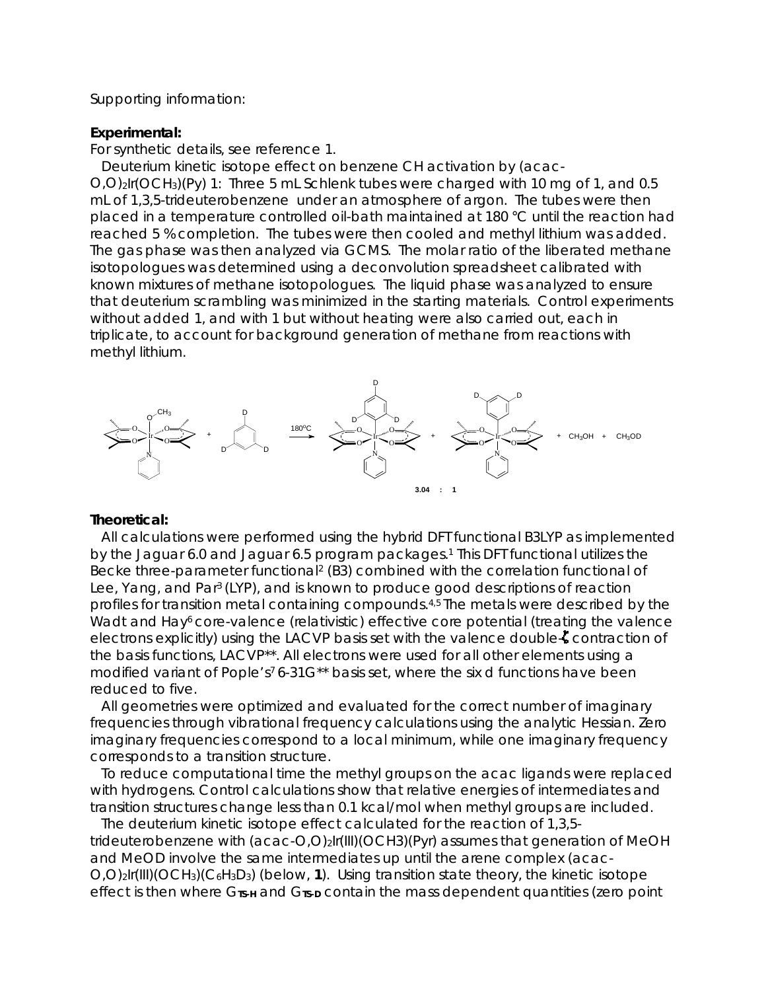## Supporting information:

## **Experimental:**

For synthetic details, see reference 1.

Deuterium kinetic isotope effect on benzene CH activation by (acac-O,O)2Ir(OCH3)(Py) 1: Three 5 mL Schlenk tubes were charged with 10 mg of 1, and 0.5 mL of 1,3,5-trideuterobenzene under an atmosphere of argon. The tubes were then placed in a temperature controlled oil-bath maintained at 180 °C until the reaction had reached 5 % completion. The tubes were then cooled and methyl lithium was added. The gas phase was then analyzed via GCMS. The molar ratio of the liberated methane isotopologues was determined using a deconvolution spreadsheet calibrated with known mixtures of methane isotopologues. The liquid phase was analyzed to ensure that deuterium scrambling was minimized in the starting materials. Control experiments without added 1, and with 1 but without heating were also carried out, each in triplicate, to account for background generation of methane from reactions with methyl lithium.



## **Theoretical:**

All calculations were performed using the hybrid DFT functional B3LYP as implemented by the Jaguar 6.0 and Jaguar 6.5 program packages.1 This DFT functional utilizes the Becke three-parameter functional<sup>2</sup> (B3) combined with the correlation functional of Lee, Yang, and Par3 (LYP), and is known to produce good descriptions of reaction profiles for transition metal containing compounds.4,5 The metals were described by the Wadt and Hay<sup>6</sup> core-valence (relativistic) effective core potential (treating the valence electrons explicitly) using the LACVP basis set with the valence double-C contraction of the basis functions, LACVP\*\*. All electrons were used for all other elements using a modified variant of Pople's<sup>7</sup> 6-31G<sup>\*\*</sup> basis set, where the six d functions have been reduced to five.

All geometries were optimized and evaluated for the correct number of imaginary frequencies through vibrational frequency calculations using the analytic Hessian. Zero imaginary frequencies correspond to a local minimum, while one imaginary frequency corresponds to a transition structure.

To reduce computational time the methyl groups on the acac ligands were replaced with hydrogens. Control calculations show that relative energies of intermediates and transition structures change less than 0.1 kcal/mol when methyl groups are included.

The deuterium kinetic isotope effect calculated for the reaction of 1,3,5 trideuterobenzene with (acac-O,O)2Ir(III)(OCH3)(Pyr) assumes that generation of MeOH and MeOD involve the same intermediates up until the arene complex (acac-O,O)2Ir(III)(OCH3)(C6H3D3) (below, **1**). Using transition state theory, the kinetic isotope effect is then where G**TS-H** and G**TS-D** contain the mass dependent quantities (zero point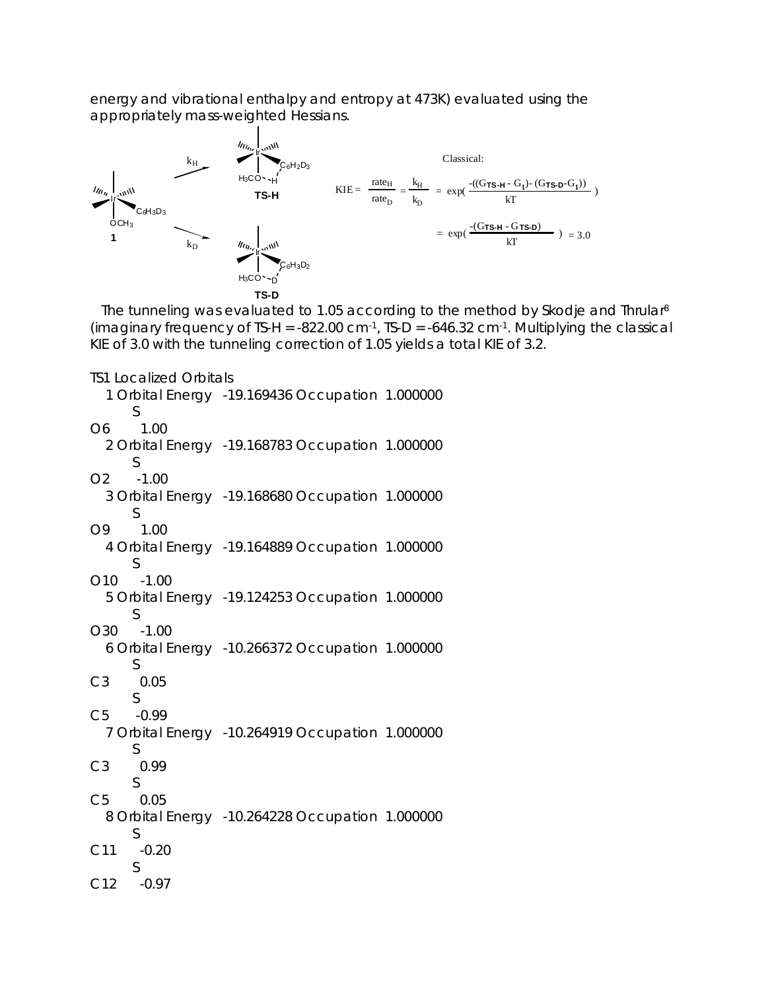energy and vibrational enthalpy and entropy at 473K) evaluated using the appropriately mass-weighted Hessians.



The tunneling was evaluated to 1.05 according to the method by Skodje and Thrular<sup>8</sup> (imaginary frequency of TS-H =  $-822.00 \text{ cm}^{-1}$ , TS-D =  $-646.32 \text{ cm}^{-1}$ . Multiplying the classical KIE of 3.0 with the tunneling correction of 1.05 yields a total KIE of 3.2.

```
TS1 Localized Orbitals
```

```
 1 Orbital Energy -19.169436 Occupation 1.000000 
       S 
O6 1.00 
   2 Orbital Energy -19.168783 Occupation 1.000000 
       S 
O2 -1.00 
   3 Orbital Energy -19.168680 Occupation 1.000000 
       S 
O9 1.00 
   4 Orbital Energy -19.164889 Occupation 1.000000 
       S 
O10 -1.00 
   5 Orbital Energy -19.124253 Occupation 1.000000 
       S 
O30 -1.00 
   6 Orbital Energy -10.266372 Occupation 1.000000 
       S 
C3 0.05 
       S 
C5 -0.99 
   7 Orbital Energy -10.264919 Occupation 1.000000 
       S 
C3 0.99 
       S 
C5 0.05 
   8 Orbital Energy -10.264228 Occupation 1.000000 
       S 
C11 -0.20 
       S 
C12 -0.97
```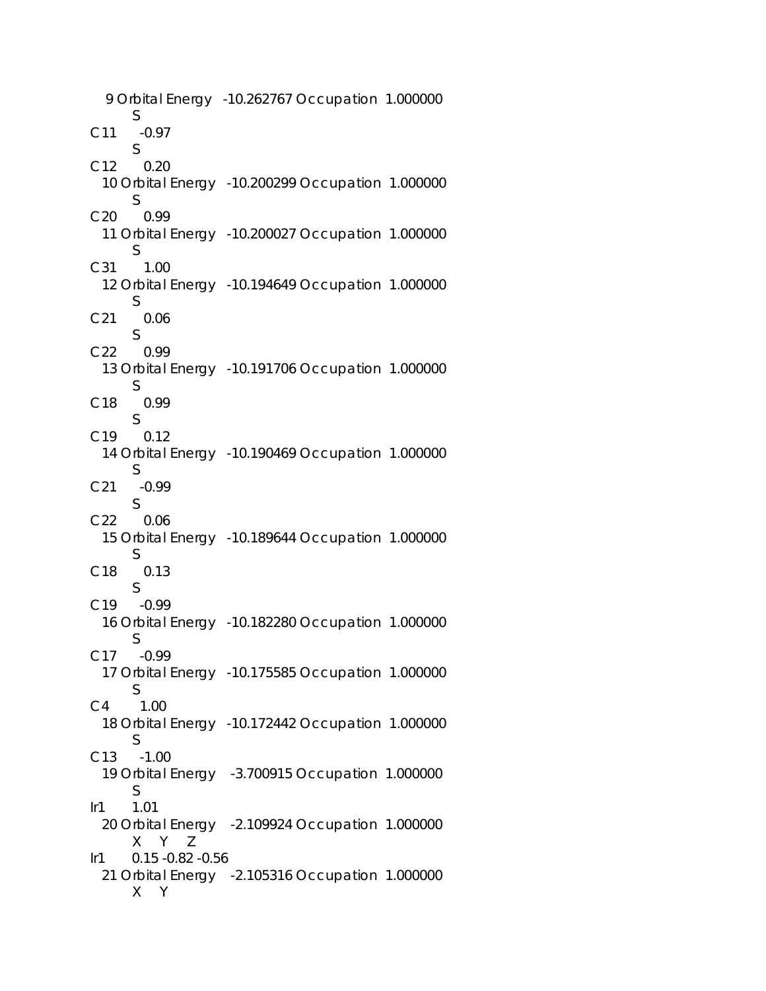9 Orbital Energy -10.262767 Occupation 1.000000 S C11 -0.97 S C12 0.20 10 Orbital Energy -10.200299 Occupation 1.000000 S C20 0.99 11 Orbital Energy -10.200027 Occupation 1.000000 S C31 1.00 12 Orbital Energy -10.194649 Occupation 1.000000 S C21 0.06 S C22 0.99 13 Orbital Energy -10.191706 Occupation 1.000000 S C18 0.99 S C19 0.12 14 Orbital Energy -10.190469 Occupation 1.000000 S C21 -0.99 S C22 0.06 15 Orbital Energy -10.189644 Occupation 1.000000 S C18 0.13 S C19 -0.99 16 Orbital Energy -10.182280 Occupation 1.000000 S C17 -0.99 17 Orbital Energy -10.175585 Occupation 1.000000 S C4 1.00 18 Orbital Energy -10.172442 Occupation 1.000000 S C13 -1.00 19 Orbital Energy -3.700915 Occupation 1.000000 S Ir1 1.01 20 Orbital Energy -2.109924 Occupation 1.000000 X Y Z Ir1 0.15 -0.82 -0.56 21 Orbital Energy -2.105316 Occupation 1.000000 X Y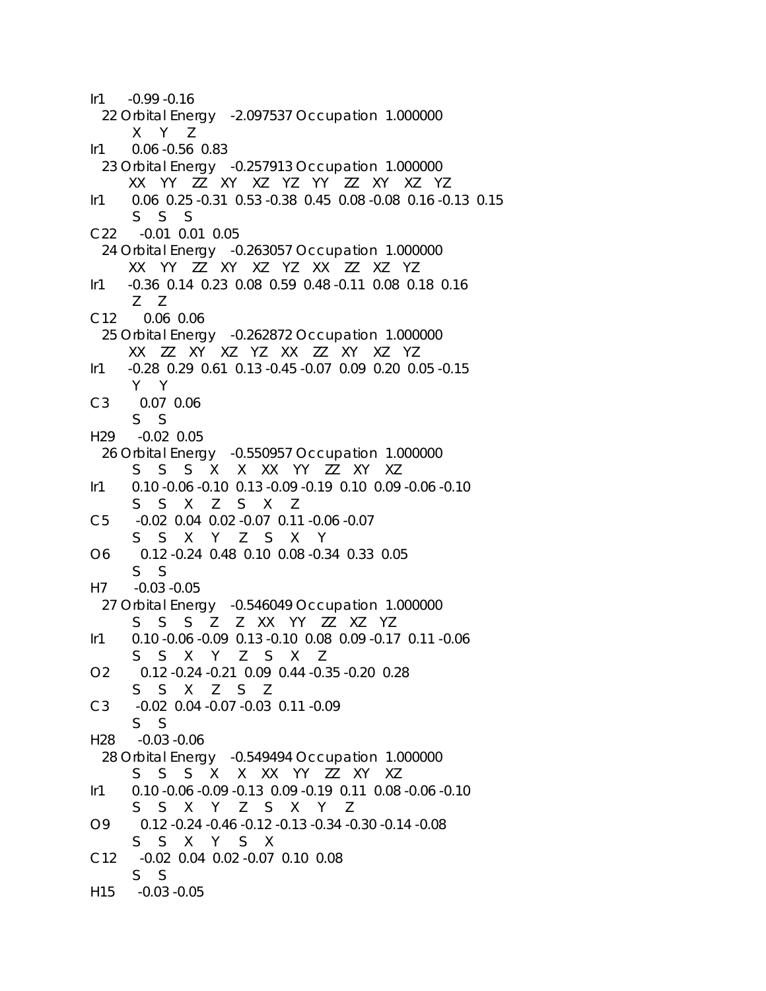$Ir1 -0.99 -0.16$  22 Orbital Energy -2.097537 Occupation 1.000000 X Y Z Ir1 0.06 -0.56 0.83 23 Orbital Energy -0.257913 Occupation 1.000000 XX YY ZZ XY XZ YZ YY ZZ XY XZ YZ Ir1 0.06 0.25 -0.31 0.53 -0.38 0.45 0.08 -0.08 0.16 -0.13 0.15 S S S C22 -0.01 0.01 0.05 24 Orbital Energy -0.263057 Occupation 1.000000 XX YY ZZ XY XZ YZ XX ZZ XZ YZ Ir1 -0.36 0.14 0.23 0.08 0.59 0.48 -0.11 0.08 0.18 0.16 Z Z C12 0.06 0.06 25 Orbital Energy -0.262872 Occupation 1.000000 XX ZZ XY XZ YZ XX ZZ XY XZ YZ Ir1 -0.28 0.29 0.61 0.13 -0.45 -0.07 0.09 0.20 0.05 -0.15 Y Y C3 0.07 0.06 S S H29 -0.02 0.05 26 Orbital Energy -0.550957 Occupation 1.000000 S S S X X XX YY ZZ XY XZ Ir1 0.10 -0.06 -0.10 0.13 -0.09 -0.19 0.10 0.09 -0.06 -0.10 S S X Z S X Z C5 -0.02 0.04 0.02 -0.07 0.11 -0.06 -0.07 S S X Y Z S X Y O6 0.12 -0.24 0.48 0.10 0.08 -0.34 0.33 0.05 S S H7 -0.03 -0.05 27 Orbital Energy -0.546049 Occupation 1.000000 S S S Z Z XX YY ZZ XZ YZ Ir1 0.10 -0.06 -0.09 0.13 -0.10 0.08 0.09 -0.17 0.11 -0.06 S S X Y Z S X Z O2 0.12 -0.24 -0.21 0.09 0.44 -0.35 -0.20 0.28 S S X Z S Z C3 -0.02 0.04 -0.07 -0.03 0.11 -0.09 S S H28 -0.03 -0.06 28 Orbital Energy -0.549494 Occupation 1.000000 S S S X X XX YY ZZ XY XZ Ir1 0.10 -0.06 -0.09 -0.13 0.09 -0.19 0.11 0.08 -0.06 -0.10 S S X Y Z S X Y Z O9 0.12 -0.24 -0.46 -0.12 -0.13 -0.34 -0.30 -0.14 -0.08 S S X Y S X C12 -0.02 0.04 0.02 -0.07 0.10 0.08 S S H15 -0.03 -0.05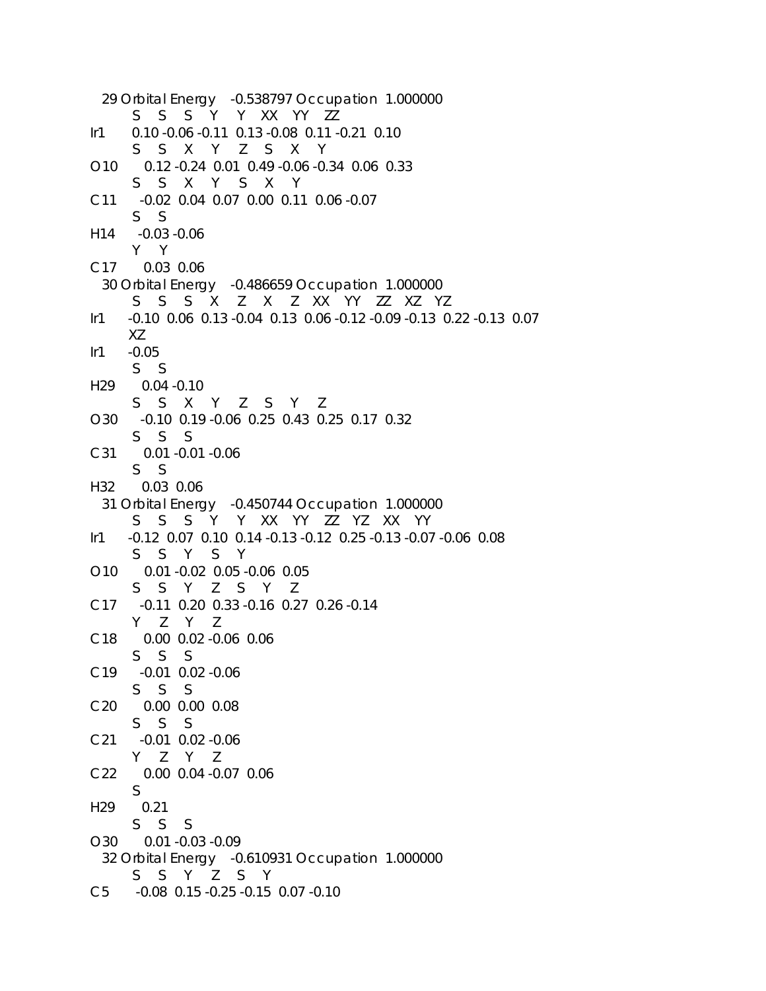```
 29 Orbital Energy -0.538797 Occupation 1.000000 
      S S S Y Y XX YY ZZ 
Ir1 0.10 -0.06 -0.11 0.13 -0.08 0.11 -0.21 0.10 
      S S X Y Z S X Y 
O10 0.12 -0.24 0.01 0.49 -0.06 -0.34 0.06 0.33 
      S S X Y S X Y 
C11 -0.02 0.04 0.07 0.00 0.11 0.06 -0.07 
      S S 
H14 -0.03 -0.06 
      Y Y 
C17 0.03 0.06 
  30 Orbital Energy -0.486659 Occupation 1.000000 
      S S S X Z X Z XX YY ZZ XZ YZ 
Ir1 -0.10 0.06 0.13 -0.04 0.13 0.06 -0.12 -0.09 -0.13 0.22 -0.13 0.07 
      XZ 
Ir1 -0.05 
      S S 
H29 0.04 -0.10 
      S S X Y Z S Y Z 
O30 -0.10 0.19 -0.06 0.25 0.43 0.25 0.17 0.32 
      S S S 
C31 0.01 -0.01 -0.06 
      S S 
H32 0.03 0.06 
  31 Orbital Energy -0.450744 Occupation 1.000000 
      S S S Y Y XX YY ZZ YZ XX YY 
Ir1 -0.12 0.07 0.10 0.14 -0.13 -0.12 0.25 -0.13 -0.07 -0.06 0.08 
      S S Y S Y 
O10 0.01 -0.02 0.05 -0.06 0.05 
      S S Y Z S Y Z 
C17 -0.11 0.20 0.33 -0.16 0.27 0.26 -0.14 
      Y Z Y Z 
C18 0.00 0.02 -0.06 0.06 
      S S S 
C19 -0.01 0.02 -0.06 
      S S S 
C20 0.00 0.00 0.08 
      S S S 
C21 -0.01 0.02 -0.06 
      Y Z Y Z 
C22 0.00 0.04 -0.07 0.06 
      S 
H29 0.21 
      S S S 
O30 0.01 -0.03 -0.09 
  32 Orbital Energy -0.610931 Occupation 1.000000 
      S S Y Z S Y 
C5 -0.08 0.15 -0.25 -0.15 0.07 -0.10
```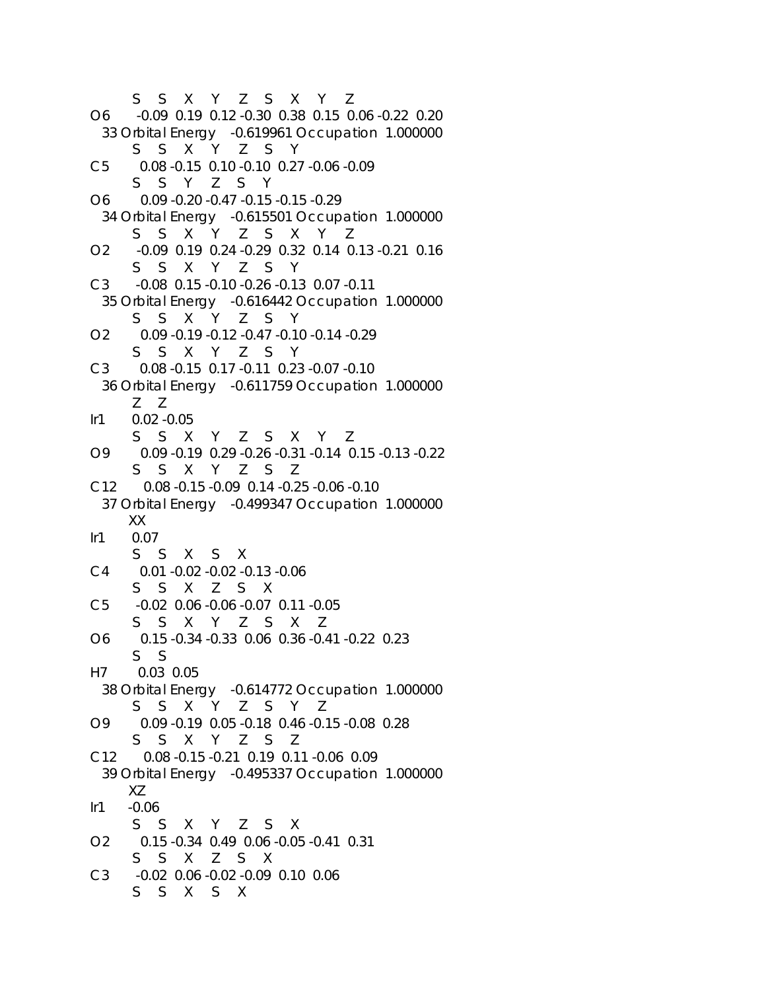```
 S S X Y Z S X Y Z 
O6 -0.09 0.19 0.12 -0.30 0.38 0.15 0.06 -0.22 0.20 
  33 Orbital Energy -0.619961 Occupation 1.000000 
      S S X Y Z S Y 
C5 0.08 -0.15 0.10 -0.10 0.27 -0.06 -0.09 
      S S Y Z S Y 
O6 0.09 -0.20 -0.47 -0.15 -0.15 -0.29 
  34 Orbital Energy -0.615501 Occupation 1.000000 
      S S X Y Z S X Y Z 
O2 -0.09 0.19 0.24 -0.29 0.32 0.14 0.13 -0.21 0.16 
      S S X Y Z S Y 
C3 -0.08 0.15 -0.10 -0.26 -0.13 0.07 -0.11 
  35 Orbital Energy -0.616442 Occupation 1.000000 
      S S X Y Z S Y 
O2 0.09 -0.19 -0.12 -0.47 -0.10 -0.14 -0.29 
      S S X Y Z S Y 
C3 0.08 -0.15 0.17 -0.11 0.23 -0.07 -0.10 
  36 Orbital Energy -0.611759 Occupation 1.000000 
      Z Z 
Ir1 0.02 -0.05 
      S S X Y Z S X Y Z 
O9 0.09 -0.19 0.29 -0.26 -0.31 -0.14 0.15 -0.13 -0.22 
      S S X Y Z S Z 
C12 0.08 -0.15 -0.09 0.14 -0.25 -0.06 -0.10 
  37 Orbital Energy -0.499347 Occupation 1.000000 
      XX 
Ir1 0.07 
      S S X S X 
C4 0.01 -0.02 -0.02 -0.13 -0.06 
      S S X Z S X 
C5 -0.02 0.06 -0.06 -0.07 0.11 -0.05 
      S S X Y Z S X Z 
O6 0.15 -0.34 -0.33 0.06 0.36 -0.41 -0.22 0.23 
      S S 
H7 0.03 0.05 
  38 Orbital Energy -0.614772 Occupation 1.000000 
      S S X Y Z S Y Z 
O9 0.09 -0.19 0.05 -0.18 0.46 -0.15 -0.08 0.28 
      S S X Y Z S Z 
C12 0.08 -0.15 -0.21 0.19 0.11 -0.06 0.09 
  39 Orbital Energy -0.495337 Occupation 1.000000 
     XZ 
Ir1 -0.06 
      S S X Y Z S X 
O2 0.15 -0.34 0.49 0.06 -0.05 -0.41 0.31 
      S S X Z S X 
C3 -0.02 0.06 -0.02 -0.09 0.10 0.06 
      S S X S X
```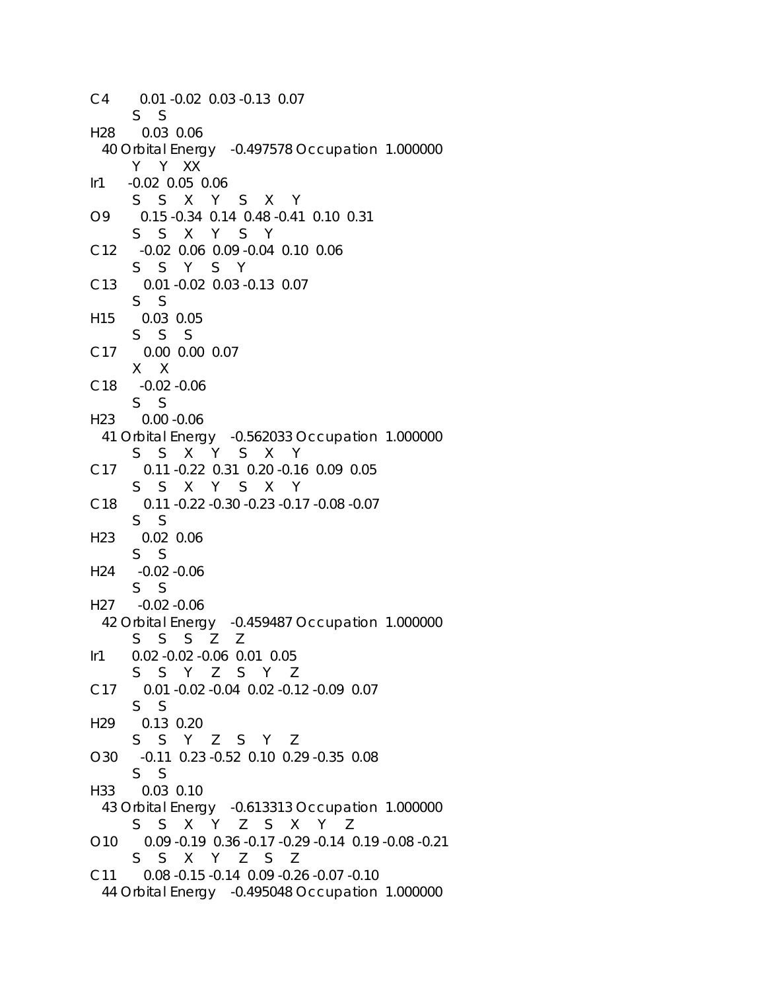```
C4 0.01 -0.02 0.03 -0.13 0.07 
      S S 
H28 0.03 0.06 
  40 Orbital Energy -0.497578 Occupation 1.000000 
      Y Y XX 
Ir1 -0.02 0.05 0.06 
      S S X Y S X Y 
O9 0.15 -0.34 0.14 0.48 -0.41 0.10 0.31 
      S S X Y S Y 
C12 -0.02 0.06 0.09 -0.04 0.10 0.06 
      S S Y S Y 
C13 0.01 -0.02 0.03 -0.13 0.07 
      S S 
H15 0.03 0.05 
      S S S 
C17 0.00 0.00 0.07 
      X X 
C18 -0.02 -0.06 
      S S 
H23 0.00 -0.06 
  41 Orbital Energy -0.562033 Occupation 1.000000 
      S S X Y S X Y 
C17 0.11 -0.22 0.31 0.20 -0.16 0.09 0.05 
      S S X Y S X Y 
C18 0.11 -0.22 -0.30 -0.23 -0.17 -0.08 -0.07 
      S S 
H23 0.02 0.06 
      S S 
H24 -0.02 -0.06 
      S S 
H27 -0.02 -0.06 
  42 Orbital Energy -0.459487 Occupation 1.000000 
      S S S Z Z 
Ir1 0.02 -0.02 -0.06 0.01 0.05 
      S S Y Z S Y Z 
C17 0.01 -0.02 -0.04 0.02 -0.12 -0.09 0.07 
      S S 
H29 0.13 0.20 
      S S Y Z S Y Z 
O30 -0.11 0.23 -0.52 0.10 0.29 -0.35 0.08 
      S S 
H33 0.03 0.10 
  43 Orbital Energy -0.613313 Occupation 1.000000 
      S S X Y Z S X Y Z 
O10 0.09 -0.19 0.36 -0.17 -0.29 -0.14 0.19 -0.08 -0.21 
      S S X Y Z S Z 
C11 0.08 -0.15 -0.14 0.09 -0.26 -0.07 -0.10 
  44 Orbital Energy -0.495048 Occupation 1.000000
```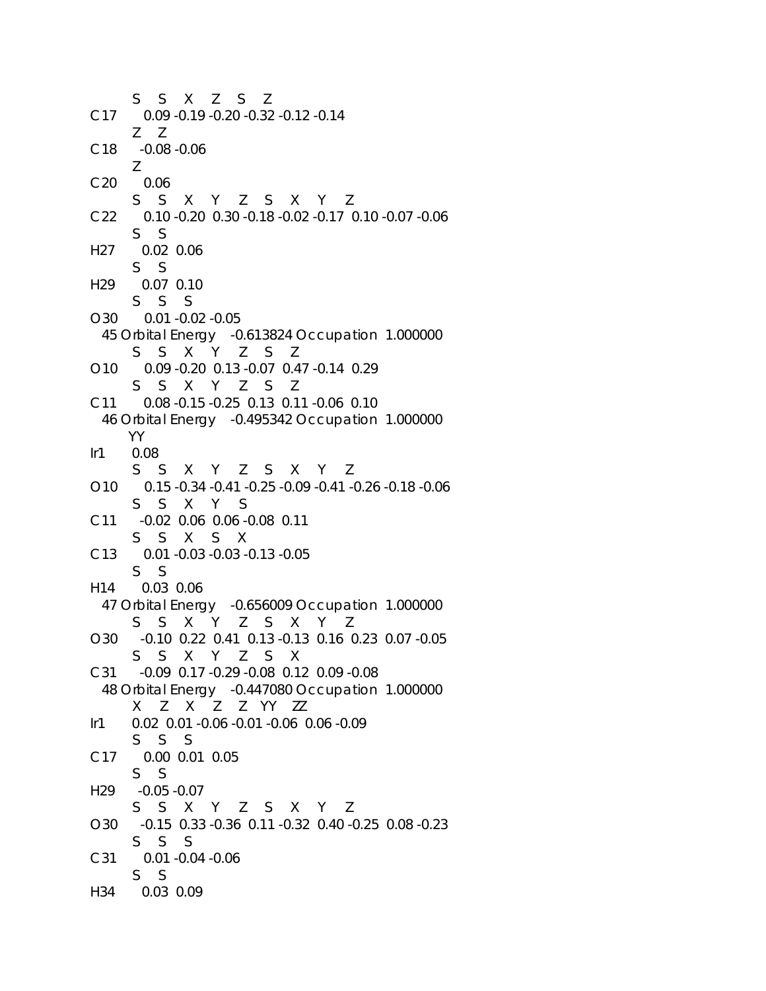S S X Z S Z C17 0.09 -0.19 -0.20 -0.32 -0.12 -0.14 Z Z C18 -0.08 -0.06 Z C20 0.06 S S X Y Z S X Y Z C22 0.10 -0.20 0.30 -0.18 -0.02 -0.17 0.10 -0.07 -0.06 S S H27 0.02 0.06 S S H29 0.07 0.10 S S S O30 0.01 -0.02 -0.05 45 Orbital Energy -0.613824 Occupation 1.000000 S S X Y Z S Z O10 0.09 -0.20 0.13 -0.07 0.47 -0.14 0.29 S S X Y Z S Z C11 0.08 -0.15 -0.25 0.13 0.11 -0.06 0.10 46 Orbital Energy -0.495342 Occupation 1.000000 YY Ir1 0.08 S S X Y Z S X Y Z O10 0.15 -0.34 -0.41 -0.25 -0.09 -0.41 -0.26 -0.18 -0.06 S S X Y S C11 -0.02 0.06 0.06 -0.08 0.11 S S X S X C13 0.01 -0.03 -0.03 -0.13 -0.05 S S H14 0.03 0.06 47 Orbital Energy -0.656009 Occupation 1.000000 S S X Y Z S X Y Z O30 -0.10 0.22 0.41 0.13 -0.13 0.16 0.23 0.07 -0.05 S S X Y Z S X C31 -0.09 0.17 -0.29 -0.08 0.12 0.09 -0.08 48 Orbital Energy -0.447080 Occupation 1.000000 X Z X Z Z YY ZZ Ir1 0.02 0.01 -0.06 -0.01 -0.06 0.06 -0.09 S S S C17 0.00 0.01 0.05 S S H29 -0.05 -0.07 S S X Y Z S X Y Z O30 -0.15 0.33 -0.36 0.11 -0.32 0.40 -0.25 0.08 -0.23 S S S C31 0.01 -0.04 -0.06 S S H34 0.03 0.09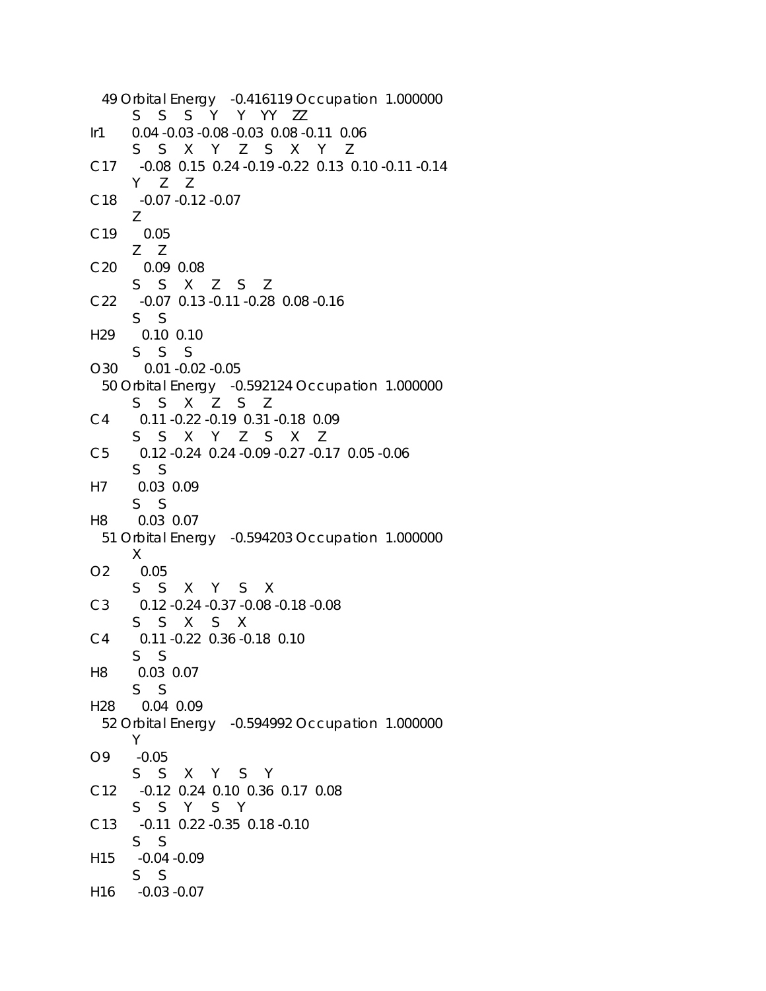```
 49 Orbital Energy -0.416119 Occupation 1.000000 
      S S S Y Y YY ZZ 
Ir1 0.04 -0.03 -0.08 -0.03 0.08 -0.11 0.06 
      S S X Y Z S X Y Z 
C17 -0.08 0.15 0.24 -0.19 -0.22 0.13 0.10 -0.11 -0.14 
      Y Z Z 
C18 -0.07 -0.12 -0.07 
      Z 
C19 0.05 
      Z Z 
C20 0.09 0.08 
      S S X Z S Z 
C22 -0.07 0.13 -0.11 -0.28 0.08 -0.16 
      S S 
H29 0.10 0.10 
      S S S 
O30 0.01 -0.02 -0.05 
  50 Orbital Energy -0.592124 Occupation 1.000000 
      S S X Z S Z 
C4 0.11 -0.22 -0.19 0.31 -0.18 0.09 
      S S X Y Z S X Z 
C5 0.12 -0.24 0.24 -0.09 -0.27 -0.17 0.05 -0.06 
      S S 
H7 0.03 0.09 
      S S 
H8 0.03 0.07 
  51 Orbital Energy -0.594203 Occupation 1.000000 
      X 
O2 0.05 
      S S X Y S X 
C3 0.12 -0.24 -0.37 -0.08 -0.18 -0.08 
      S S X S X 
C4 0.11 -0.22 0.36 -0.18 0.10 
      S S 
H8 0.03 0.07 
      S S 
H28 0.04 0.09 
  52 Orbital Energy -0.594992 Occupation 1.000000 
      Y 
O9 -0.05 
      S S X Y S Y 
C12 -0.12 0.24 0.10 0.36 0.17 0.08 
      S S Y S Y 
C13 -0.11 0.22 -0.35 0.18 -0.10 
      S S 
H15 -0.04 -0.09 
      S S 
H16 -0.03 -0.07
```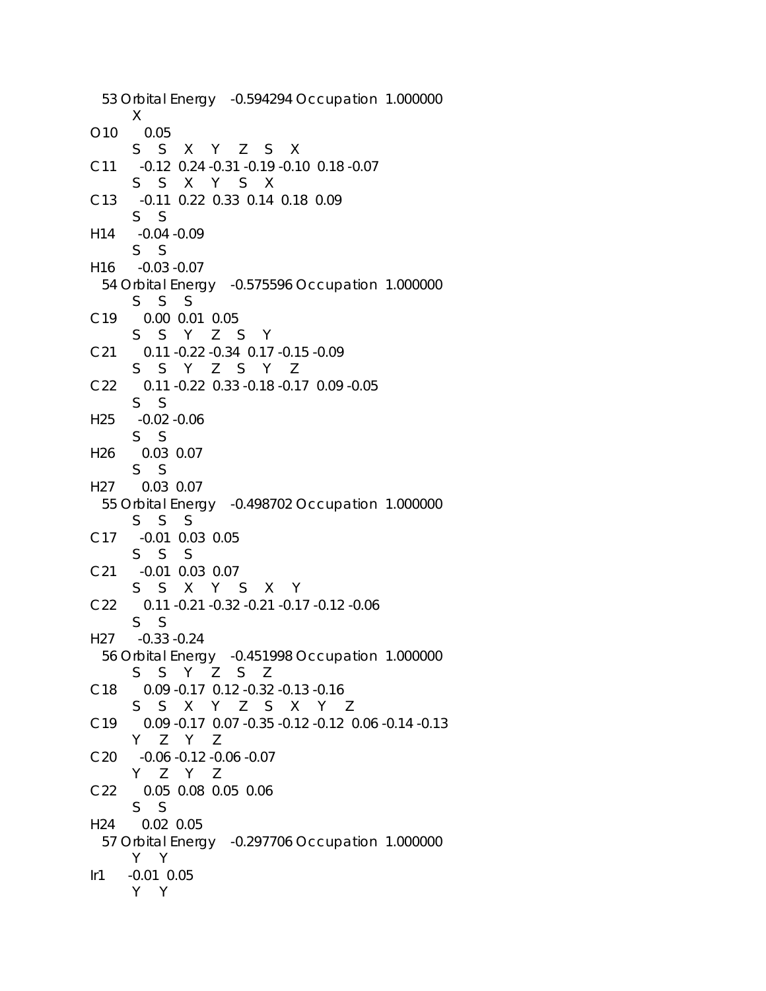53 Orbital Energy -0.594294 Occupation 1.000000 X O10 0.05 S S X Y Z S X C11 -0.12 0.24 -0.31 -0.19 -0.10 0.18 -0.07 S S X Y S X C13 -0.11 0.22 0.33 0.14 0.18 0.09 S S H14 -0.04 -0.09 S S H16 -0.03 -0.07 54 Orbital Energy -0.575596 Occupation 1.000000 S S S C19 0.00 0.01 0.05 S S Y Z S Y C21 0.11 -0.22 -0.34 0.17 -0.15 -0.09 S S Y Z S Y Z C22 0.11 -0.22 0.33 -0.18 -0.17 0.09 -0.05 S S H25 -0.02 -0.06 S S H26 0.03 0.07 S S H27 0.03 0.07 55 Orbital Energy -0.498702 Occupation 1.000000 S S S C17 -0.01 0.03 0.05 S S S C21 -0.01 0.03 0.07 S S X Y S X Y C22 0.11 -0.21 -0.32 -0.21 -0.17 -0.12 -0.06 S S H27 -0.33 -0.24 56 Orbital Energy -0.451998 Occupation 1.000000 S S Y Z S Z C18 0.09 -0.17 0.12 -0.32 -0.13 -0.16 S S X Y Z S X Y Z C19 0.09 -0.17 0.07 -0.35 -0.12 -0.12 0.06 -0.14 -0.13 Y Z Y Z C20 -0.06 -0.12 -0.06 -0.07 Y Z Y Z C22 0.05 0.08 0.05 0.06 S S H24 0.02 0.05 57 Orbital Energy -0.297706 Occupation 1.000000 Y Y Ir1 -0.01 0.05 Y Y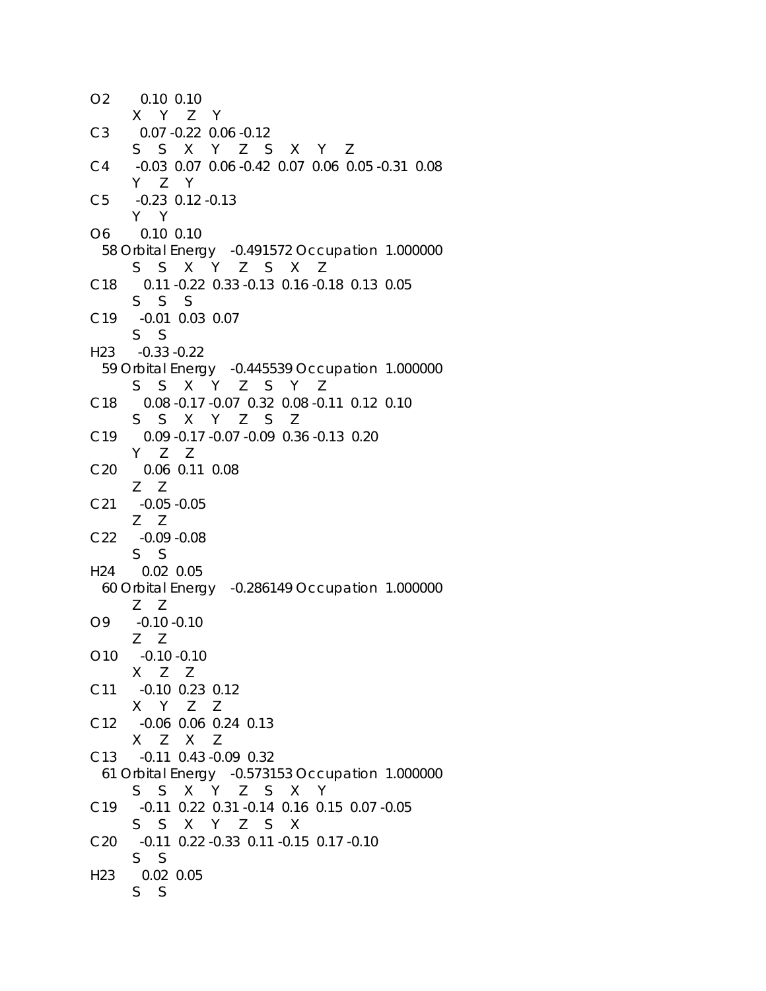O2 0.10 0.10 X Y Z Y C3 0.07 -0.22 0.06 -0.12 S S X Y Z S X Y Z C4 -0.03 0.07 0.06 -0.42 0.07 0.06 0.05 -0.31 0.08 Y Z Y C5 -0.23 0.12 -0.13 Y Y O6 0.10 0.10 58 Orbital Energy -0.491572 Occupation 1.000000 S S X Y Z S X Z C18 0.11 -0.22 0.33 -0.13 0.16 -0.18 0.13 0.05 S S S C19 -0.01 0.03 0.07 S S H23 -0.33 -0.22 59 Orbital Energy -0.445539 Occupation 1.000000 S S X Y Z S Y Z C18 0.08 -0.17 -0.07 0.32 0.08 -0.11 0.12 0.10 S S X Y Z S Z C19 0.09 -0.17 -0.07 -0.09 0.36 -0.13 0.20 Y Z Z C20 0.06 0.11 0.08 Z Z C21 -0.05 -0.05 Z Z C22 -0.09 -0.08 S S H24 0.02 0.05 60 Orbital Energy -0.286149 Occupation 1.000000 Z Z O9 -0.10 -0.10 Z Z O10 -0.10 -0.10 X Z Z C11 -0.10 0.23 0.12 X Y Z Z C12 -0.06 0.06 0.24 0.13 X Z X Z C13 -0.11 0.43 -0.09 0.32 61 Orbital Energy -0.573153 Occupation 1.000000 S S X Y Z S X Y C19 -0.11 0.22 0.31 -0.14 0.16 0.15 0.07 -0.05 S S X Y Z S X C20 -0.11 0.22 -0.33 0.11 -0.15 0.17 -0.10 S S H23 0.02 0.05 S S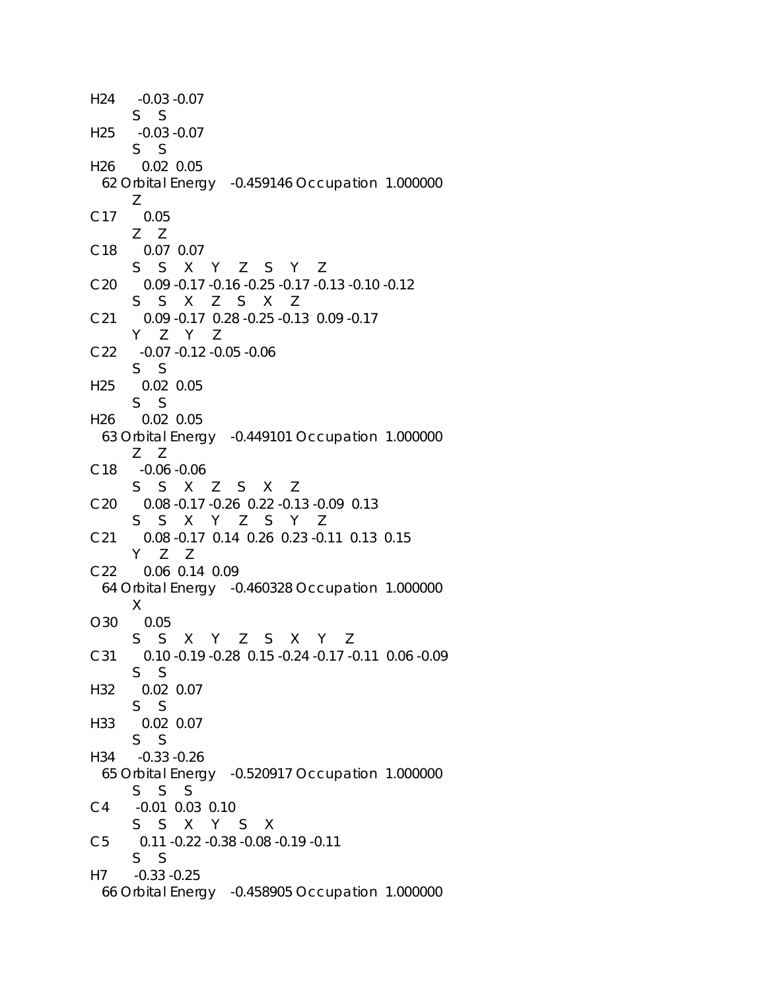```
H24 -0.03 -0.07 
     S S 
H25 -0.03 -0.07 
      S S 
H26 0.02 0.05 
  62 Orbital Energy -0.459146 Occupation 1.000000 
      Z 
C17 0.05 
      Z Z 
C18 0.07 0.07 
      S S X Y Z S Y Z 
C20 0.09 -0.17 -0.16 -0.25 -0.17 -0.13 -0.10 -0.12 
      S S X Z S X Z 
C21 0.09 -0.17 0.28 -0.25 -0.13 0.09 -0.17 
      Y Z Y Z 
C22 -0.07 -0.12 -0.05 -0.06 
      S S 
H25 0.02 0.05 
      S S 
H26 0.02 0.05 
  63 Orbital Energy -0.449101 Occupation 1.000000 
      Z Z 
C18 -0.06 -0.06 
      S S X Z S X Z 
C20 0.08 -0.17 -0.26 0.22 -0.13 -0.09 0.13 
      S S X Y Z S Y Z 
C21 0.08 -0.17 0.14 0.26 0.23 -0.11 0.13 0.15 
      Y Z Z 
C22 0.06 0.14 0.09 
  64 Orbital Energy -0.460328 Occupation 1.000000 
      X 
O30 0.05 
      S S X Y Z S X Y Z 
C31 0.10 -0.19 -0.28 0.15 -0.24 -0.17 -0.11 0.06 -0.09 
      S S 
H32 0.02 0.07 
      S S 
H33 0.02 0.07 
      S S 
H34 -0.33 -0.26 
  65 Orbital Energy -0.520917 Occupation 1.000000 
      S S S 
C4 -0.01 0.03 0.10 
      S S X Y S X 
C5 0.11 -0.22 -0.38 -0.08 -0.19 -0.11 
      S S 
H7 -0.33 -0.25 
  66 Orbital Energy -0.458905 Occupation 1.000000
```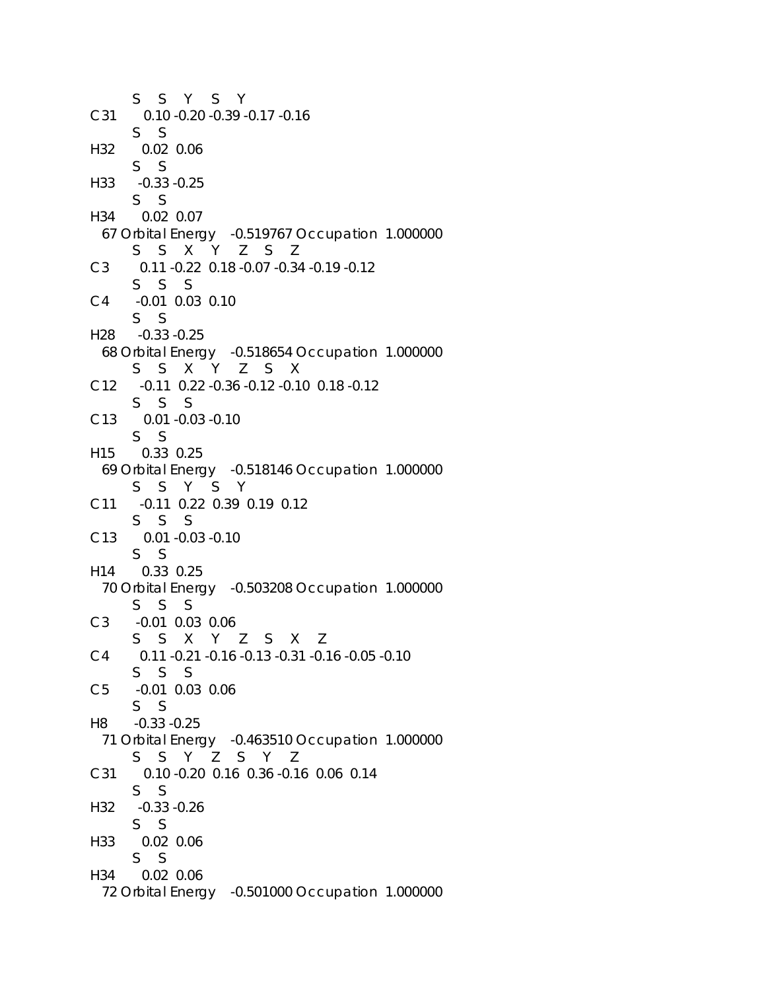S S Y S Y C31 0.10 -0.20 -0.39 -0.17 -0.16 S S H32 0.02 0.06 S S H33 -0.33 -0.25 S S H34 0.02 0.07 67 Orbital Energy -0.519767 Occupation 1.000000 S S X Y Z S Z C3 0.11 -0.22 0.18 -0.07 -0.34 -0.19 -0.12 S S S C4 -0.01 0.03 0.10 S S H28 -0.33 -0.25 68 Orbital Energy -0.518654 Occupation 1.000000 S S X Y Z S X C12 -0.11 0.22 -0.36 -0.12 -0.10 0.18 -0.12 S S S C13 0.01 -0.03 -0.10 S S H15 0.33 0.25 69 Orbital Energy -0.518146 Occupation 1.000000 S S Y S Y C11 -0.11 0.22 0.39 0.19 0.12 S S S C13 0.01 -0.03 -0.10 S S H14 0.33 0.25 70 Orbital Energy -0.503208 Occupation 1.000000 S S S C3 -0.01 0.03 0.06 S S X Y Z S X Z C4 0.11 -0.21 -0.16 -0.13 -0.31 -0.16 -0.05 -0.10 S S S C5 -0.01 0.03 0.06 S S H8 -0.33 -0.25 71 Orbital Energy -0.463510 Occupation 1.000000 S S Y Z S Y Z C31 0.10 -0.20 0.16 0.36 -0.16 0.06 0.14 S S H32 -0.33 -0.26 S S H33 0.02 0.06 S S H34 0.02 0.06 72 Orbital Energy -0.501000 Occupation 1.000000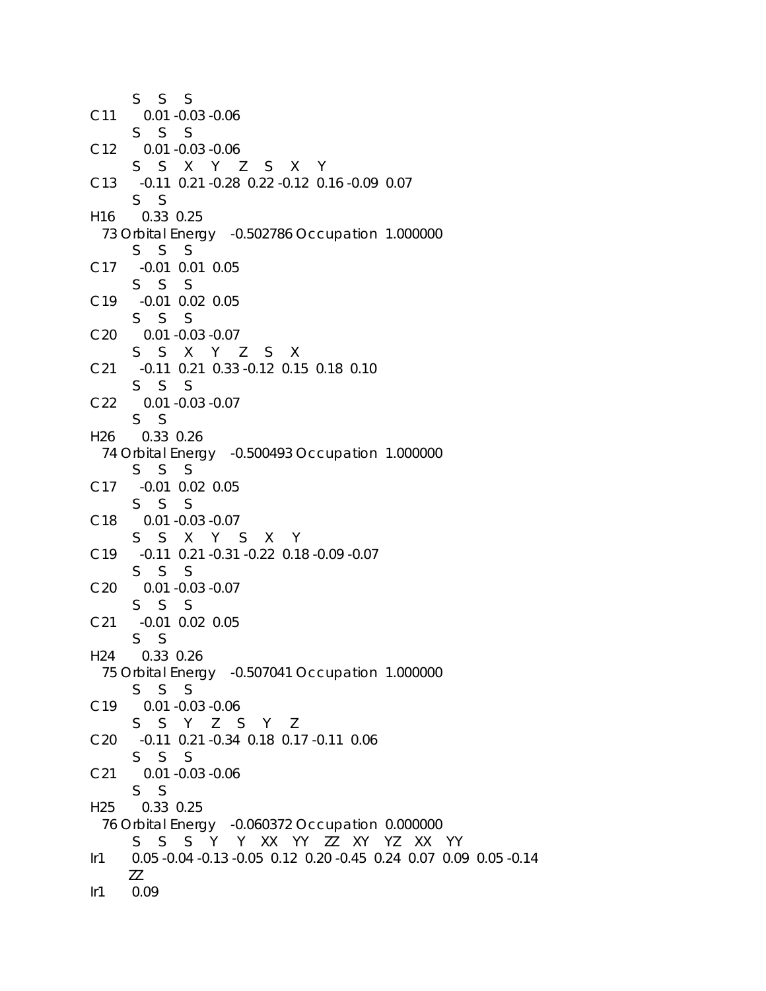S S S C11 0.01 -0.03 -0.06 S S S C12 0.01 -0.03 -0.06 S S X Y Z S X Y C13 -0.11 0.21 -0.28 0.22 -0.12 0.16 -0.09 0.07 S S H16 0.33 0.25 73 Orbital Energy -0.502786 Occupation 1.000000 S S S C17 -0.01 0.01 0.05 S S S C19 -0.01 0.02 0.05 S S S C20 0.01 -0.03 -0.07 S S X Y Z S X C21 -0.11 0.21 0.33 -0.12 0.15 0.18 0.10 S S S C22 0.01 -0.03 -0.07 S S H26 0.33 0.26 74 Orbital Energy -0.500493 Occupation 1.000000 S S S C17 -0.01 0.02 0.05 S S S C18 0.01 -0.03 -0.07 S S X Y S X Y C19 -0.11 0.21 -0.31 -0.22 0.18 -0.09 -0.07 S S S C20 0.01 -0.03 -0.07 S S S C21 -0.01 0.02 0.05 S S H24 0.33 0.26 75 Orbital Energy -0.507041 Occupation 1.000000 S S S C19 0.01 -0.03 -0.06 S S Y Z S Y Z C20 -0.11 0.21 -0.34 0.18 0.17 -0.11 0.06 S S S C21 0.01 -0.03 -0.06 S S H25 0.33 0.25 76 Orbital Energy -0.060372 Occupation 0.000000 S S S Y Y XX YY ZZ XY YZ XX YY Ir1 0.05 -0.04 -0.13 -0.05 0.12 0.20 -0.45 0.24 0.07 0.09 0.05 -0.14 ZZ Ir1 0.09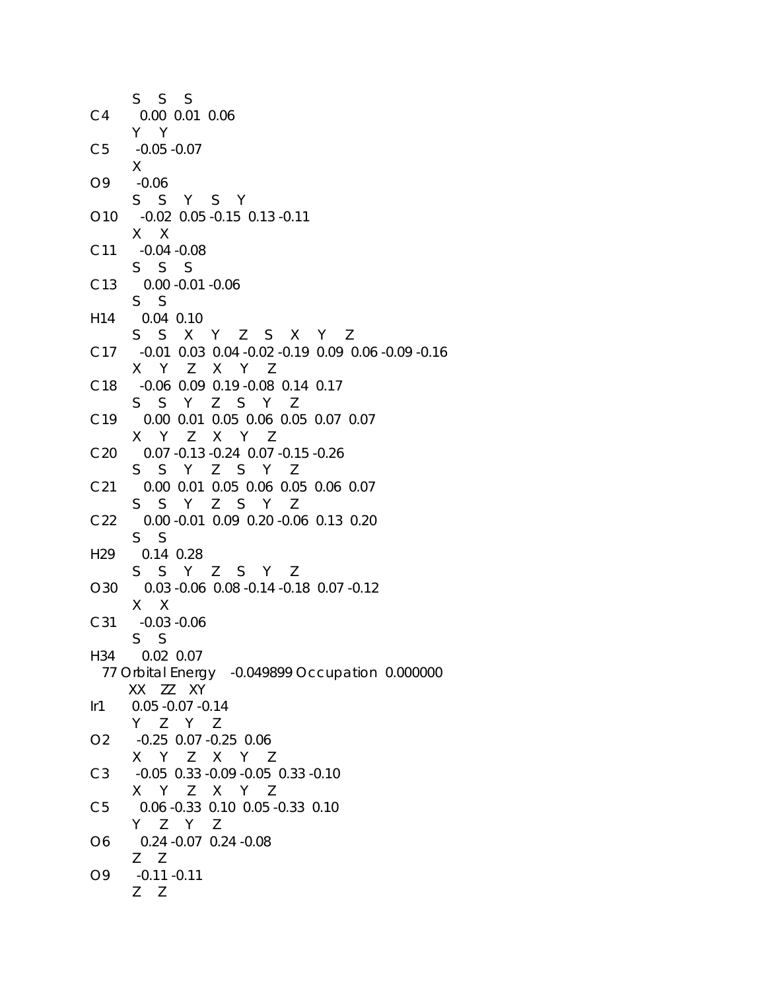S S S C4 0.00 0.01 0.06 Y Y C5 -0.05 -0.07 X O9 -0.06 S S Y S Y O10 -0.02 0.05 -0.15 0.13 -0.11 X X C11 -0.04 -0.08 S S S C13 0.00 -0.01 -0.06 S S H14 0.04 0.10 S S X Y Z S X Y Z C17 -0.01 0.03 0.04 -0.02 -0.19 0.09 0.06 -0.09 -0.16 X Y Z X Y Z C18 -0.06 0.09 0.19 -0.08 0.14 0.17 S S Y Z S Y Z C19 0.00 0.01 0.05 0.06 0.05 0.07 0.07 X Y Z X Y Z C20 0.07 -0.13 -0.24 0.07 -0.15 -0.26 S S Y Z S Y Z C21 0.00 0.01 0.05 0.06 0.05 0.06 0.07 S S Y Z S Y Z C22 0.00 -0.01 0.09 0.20 -0.06 0.13 0.20 S S H29 0.14 0.28 S S Y Z S Y Z O30 0.03 -0.06 0.08 -0.14 -0.18 0.07 -0.12 X X C31 -0.03 -0.06 S S H34 0.02 0.07 77 Orbital Energy -0.049899 Occupation 0.000000 XX ZZ XY Ir1 0.05 -0.07 -0.14 Y Z Y Z O2 -0.25 0.07 -0.25 0.06 X Y Z X Y Z C3 -0.05 0.33 -0.09 -0.05 0.33 -0.10 X Y Z X Y Z C5 0.06 -0.33 0.10 0.05 -0.33 0.10 Y Z Y Z O6 0.24 -0.07 0.24 -0.08 Z Z O9 -0.11 -0.11 Z Z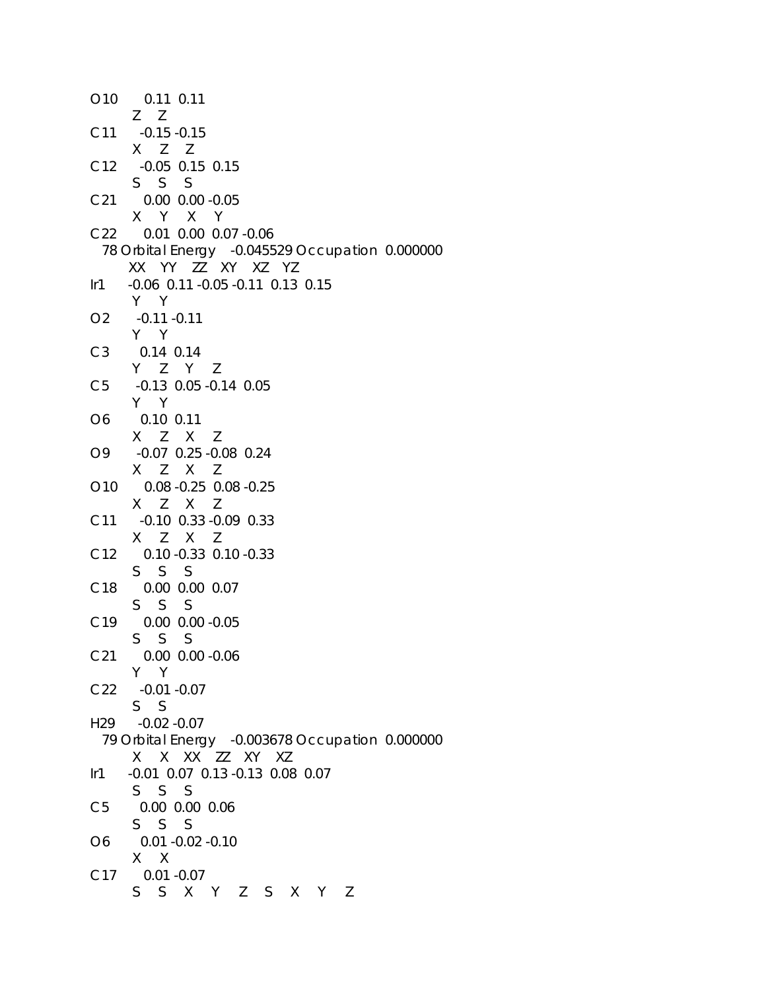|                                    | 010  0.11  0.11                                 |
|------------------------------------|-------------------------------------------------|
|                                    | $Z$ $Z$                                         |
|                                    | C11 -0.15 -0.15                                 |
|                                    | X Z Z                                           |
|                                    |                                                 |
|                                    | C12 -0.05 0.15 0.15                             |
|                                    | $S$ $S$ $S$                                     |
|                                    | C21 0.00 0.00 -0.05                             |
|                                    | X Y X Y                                         |
|                                    | C22 0.01 0.00 0.07 -0.06                        |
|                                    | 78 Orbital Energy -0.045529 Occupation 0.000000 |
|                                    | XX YY ZZ XY XZ YZ                               |
| Ir1                                | -0.06 0.11 -0.05 -0.11 0.13 0.15                |
|                                    |                                                 |
|                                    | Y Y                                             |
|                                    | O2 -0.11 -0.11                                  |
|                                    | Y Y                                             |
|                                    | C3 0.14 0.14                                    |
|                                    | Y Z Y Z                                         |
|                                    | C5 -0.13 0.05 -0.14 0.05                        |
|                                    | Y Y                                             |
|                                    | O6 0.10 0.11                                    |
|                                    | X Z X Z                                         |
|                                    | 09 -0.07 0.25 -0.08 0.24                        |
|                                    |                                                 |
|                                    | X Z X Z                                         |
|                                    | 010  0.08 -0.25  0.08 -0.25                     |
|                                    | X Z X Z                                         |
|                                    | C11 -0.10 0.33 -0.09 0.33                       |
|                                    | X Z X Z                                         |
|                                    | C12 0.10 -0.33 0.10 -0.33                       |
|                                    | $S$ $S$ $S$                                     |
| C18                                | 0.00 0.00 0.07                                  |
|                                    | $S$ $S$ $S$                                     |
|                                    |                                                 |
|                                    | C19 0.00 0.00 -0.05                             |
|                                    | $S$ $S$ $S$                                     |
| C <sub>21</sub>                    | 0.00 0.00 -0.06                                 |
|                                    | Y Y                                             |
|                                    | C22 -0.01 -0.07                                 |
|                                    | $S_S$                                           |
|                                    | H29 -0.02 -0.07                                 |
|                                    | 79 Orbital Energy -0.003678 Occupation 0.000000 |
|                                    | X X XX ZZ XY XZ                                 |
| $\mathsf{I} \mathsf{r} \mathsf{1}$ | -0.01 0.07 0.13 -0.13 0.08 0.07                 |
|                                    |                                                 |
|                                    | S S S                                           |
| C5                                 | 0.00 0.00 0.06                                  |
|                                    | S S S                                           |
| O6                                 | $0.01 - 0.02 - 0.10$                            |
|                                    | $X$ X                                           |
| C <sub>17</sub>                    | $0.01 - 0.07$                                   |
|                                    | S S X Y Z S X Y Z                               |
|                                    |                                                 |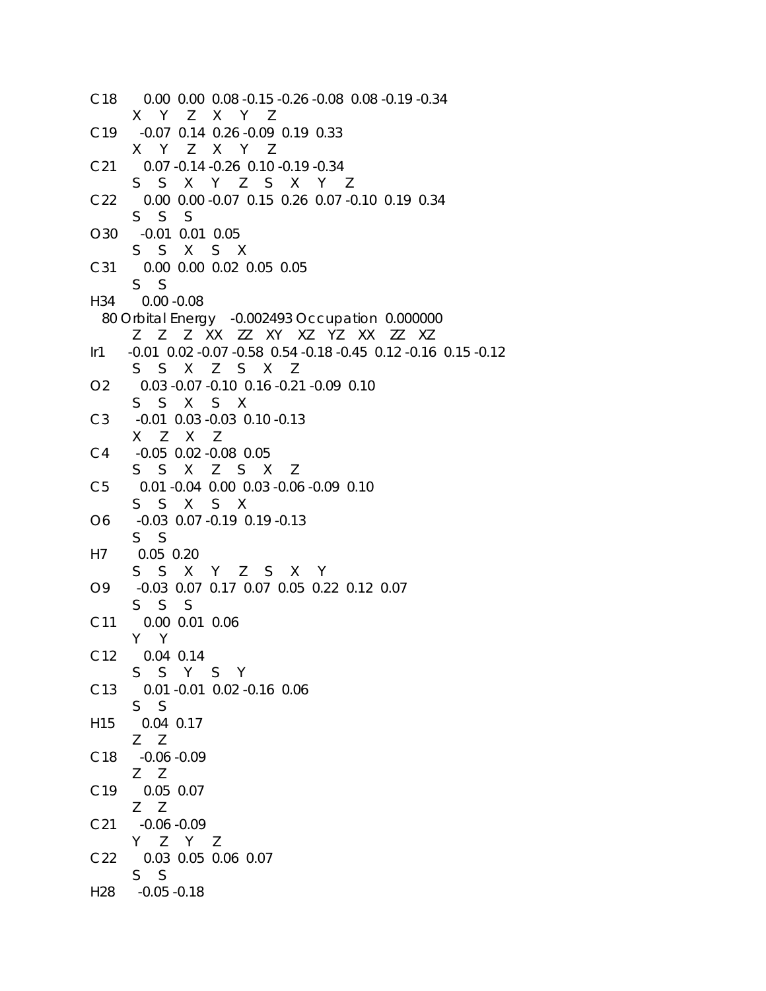```
C18 0.00 0.00 0.08 -0.15 -0.26 -0.08 0.08 -0.19 -0.34 
      X Y Z X Y Z 
C19 -0.07 0.14 0.26 -0.09 0.19 0.33 
      X Y Z X Y Z 
C21 0.07 -0.14 -0.26 0.10 -0.19 -0.34 
      S S X Y Z S X Y Z 
C22 0.00 0.00 -0.07 0.15 0.26 0.07 -0.10 0.19 0.34 
      S S S 
O30 -0.01 0.01 0.05 
      S S X S X 
C31 0.00 0.00 0.02 0.05 0.05 
      S S 
H34 0.00 -0.08 
  80 Orbital Energy -0.002493 Occupation 0.000000 
      Z Z Z XX ZZ XY XZ YZ XX ZZ XZ 
Ir1 -0.01 0.02 -0.07 -0.58 0.54 -0.18 -0.45 0.12 -0.16 0.15 -0.12 
      S S X Z S X Z 
O2 0.03 -0.07 -0.10 0.16 -0.21 -0.09 0.10 
      S S X S X 
C3 -0.01 0.03 -0.03 0.10 -0.13 
      X Z X Z 
C4 -0.05 0.02 -0.08 0.05 
      S S X Z S X Z 
C5 0.01 -0.04 0.00 0.03 -0.06 -0.09 0.10 
      S S X S X 
O6 -0.03 0.07 -0.19 0.19 -0.13
      S S 
H7 0.05 0.20 
      S S X Y Z S X Y 
O9 -0.03 0.07 0.17 0.07 0.05 0.22 0.12 0.07 
      S S S 
C11 0.00 0.01 0.06 
      Y Y 
C12 0.04 0.14 
      S S Y S Y 
C13 0.01 -0.01 0.02 -0.16 0.06 
      S S 
H15 0.04 0.17 
      Z Z 
C18 -0.06 -0.09 
      Z Z 
C19 0.05 0.07 
      Z Z 
C21 -0.06 -0.09
      Y Z Y Z 
C22 0.03 0.05 0.06 0.07 
      S S 
H28 -0.05 -0.18
```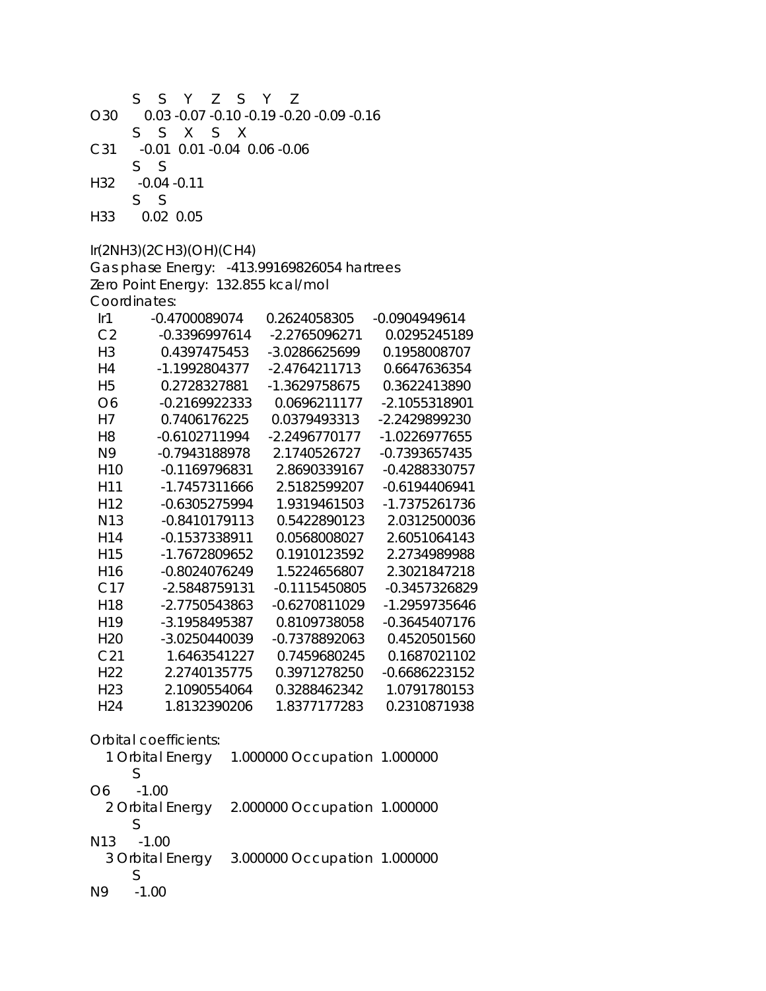| O30<br>C31<br>H32<br>H33         | S<br>S<br>Y<br>Ζ<br>S.<br>S<br>X<br>$-0.01$<br>S<br>S<br>$-0.04 - 0.11$<br>S<br>S.<br>0.02 0.05 | S<br>S X | Y<br>7<br>0.03 -0.07 -0.10 -0.19 -0.20 -0.09 -0.16<br>0.01 -0.04 0.06 -0.06 |                              |
|----------------------------------|-------------------------------------------------------------------------------------------------|----------|-----------------------------------------------------------------------------|------------------------------|
|                                  | Ir(2NH3)(2CH3)(OH)(CH4)                                                                         |          |                                                                             |                              |
|                                  |                                                                                                 |          | Gas phase Energy: - 413.99169826054 hartrees                                |                              |
|                                  | Zero Point Energy: 132.855 kcal/mol                                                             |          |                                                                             |                              |
|                                  | Coordinates:                                                                                    |          |                                                                             |                              |
| Ir1                              | -0.4700089074                                                                                   |          | 0.2624058305                                                                | -0.0904949614                |
| C <sub>2</sub><br>H <sub>3</sub> | -0.3396997614<br>0.4397475453                                                                   |          | -2.2765096271<br>-3.0286625699                                              | 0.0295245189<br>0.1958008707 |
| H4                               | -1.1992804377                                                                                   |          | -2.4764211713                                                               | 0.6647636354                 |
| H <sub>5</sub>                   | 0.2728327881                                                                                    |          | -1.3629758675                                                               | 0.3622413890                 |
| O <sub>6</sub>                   | $-0.2169922333$                                                                                 |          | 0.0696211177                                                                | -2.1055318901                |
| H7                               | 0.7406176225                                                                                    |          | 0.0379493313                                                                | -2.2429899230                |
| H <sub>8</sub>                   | -0.6102711994                                                                                   |          | -2.2496770177                                                               | -1.0226977655                |
| N <sub>9</sub>                   | -0.7943188978                                                                                   |          | 2.1740526727                                                                | -0.7393657435                |
| H <sub>10</sub>                  | -0.1169796831                                                                                   |          | 2.8690339167                                                                | -0.4288330757                |
| H11                              | -1.7457311666                                                                                   |          | 2.5182599207                                                                | $-0.6194406941$              |
| H <sub>12</sub>                  | -0.6305275994                                                                                   |          | 1.9319461503                                                                | -1.7375261736                |
| N <sub>13</sub>                  | $-0.8410179113$                                                                                 |          | 0.5422890123                                                                | 2.0312500036                 |
| H14                              | -0.1537338911                                                                                   |          | 0.0568008027                                                                | 2.6051064143                 |
| H15                              | -1.7672809652                                                                                   |          | 0.1910123592                                                                | 2.2734989988                 |
| H <sub>16</sub>                  | -0.8024076249                                                                                   |          | 1.5224656807                                                                | 2.3021847218                 |
| C17                              | -2.5848759131                                                                                   |          | -0.1115450805                                                               | -0.3457326829                |
| H18                              | -2.7750543863                                                                                   |          | -0.6270811029                                                               | -1.2959735646                |
| H <sub>19</sub>                  | -3.1958495387                                                                                   |          | 0.8109738058                                                                | $-0.3645407176$              |
| H <sub>20</sub>                  | -3.0250440039                                                                                   |          | -0.7378892063                                                               | 0.4520501560                 |
| C21                              | 1.6463541227                                                                                    |          | 0.7459680245                                                                | 0.1687021102                 |
| H <sub>22</sub>                  | 2.2740135775                                                                                    |          | 0.3971278250                                                                | $-0.6686223152$              |
| H <sub>23</sub>                  | 2.1090554064                                                                                    |          | 0.3288462342                                                                | 1.0791780153                 |
| H24                              | 1.8132390206                                                                                    |          | 1.8377177283                                                                | 0.2310871938                 |
|                                  | Orbital coefficients:                                                                           |          |                                                                             |                              |
|                                  |                                                                                                 |          |                                                                             |                              |
|                                  | 1 Orbital Energy<br>S                                                                           |          | 1.000000 Occupation 1.000000                                                |                              |
| O6                               | $-1.00$                                                                                         |          |                                                                             |                              |
|                                  |                                                                                                 |          | 2 Orbital Energy 2.000000 Occupation 1.000000                               |                              |
|                                  | S                                                                                               |          |                                                                             |                              |
| N13                              | $-1.00$                                                                                         |          |                                                                             |                              |
|                                  |                                                                                                 |          | 3 Orbital Energy 3.000000 Occupation 1.000000                               |                              |
|                                  | S                                                                                               |          |                                                                             |                              |
| N9                               | $-1.00$                                                                                         |          |                                                                             |                              |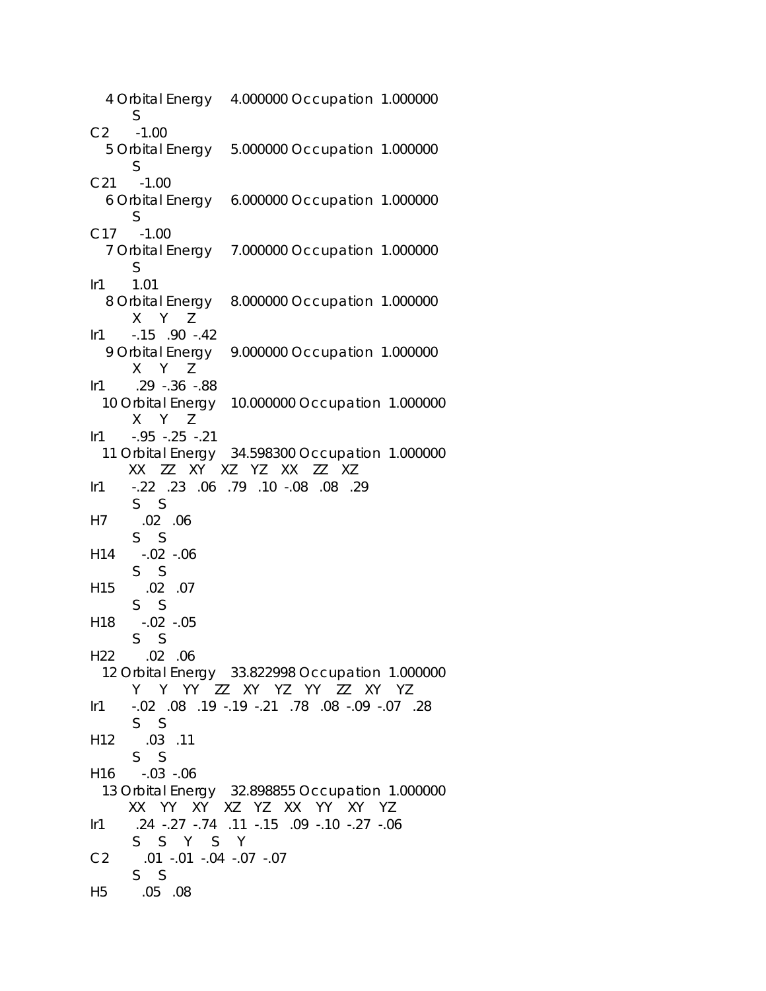4 Orbital Energy 4.000000 Occupation 1.000000 S C2 -1.00 5 Orbital Energy 5.000000 Occupation 1.000000 S C21 -1.00 6 Orbital Energy 6.000000 Occupation 1.000000 S C17 -1.00 7 Orbital Energy 7.000000 Occupation 1.000000 S Ir1 1.01 8 Orbital Energy 8.000000 Occupation 1.000000 X Y Z Ir1 -.15 .90 -.42 9 Orbital Energy 9.000000 Occupation 1.000000 X Y Z Ir1 .29 -.36 -.88 10 Orbital Energy 10.000000 Occupation 1.000000 X Y Z Ir1 -.95 -.25 -.21 11 Orbital Energy 34.598300 Occupation 1.000000 XX ZZ XY XZ YZ XX ZZ XZ Ir1 -.22 .23 .06 .79 .10 -.08 .08 .29 S S H7 .02 .06 S S H14 -.02 -.06 S S H15 .02 .07 S S H18 -.02 -.05 S S H22 .02 .06 12 Orbital Energy 33.822998 Occupation 1.000000 Y Y YY ZZ XY YZ YY ZZ XY YZ Ir1 -.02 .08 .19 -.19 -.21 .78 .08 -.09 -.07 .28 S S H12 .03 .11 S S H16 -.03 -.06 13 Orbital Energy 32.898855 Occupation 1.000000 XX YY XY XZ YZ XX YY XY YZ Ir1 .24 -.27 -.74 .11 -.15 .09 -.10 -.27 -.06 S S Y S Y C2 .01 -.01 -.04 -.07 -.07 S S H5 .05 .08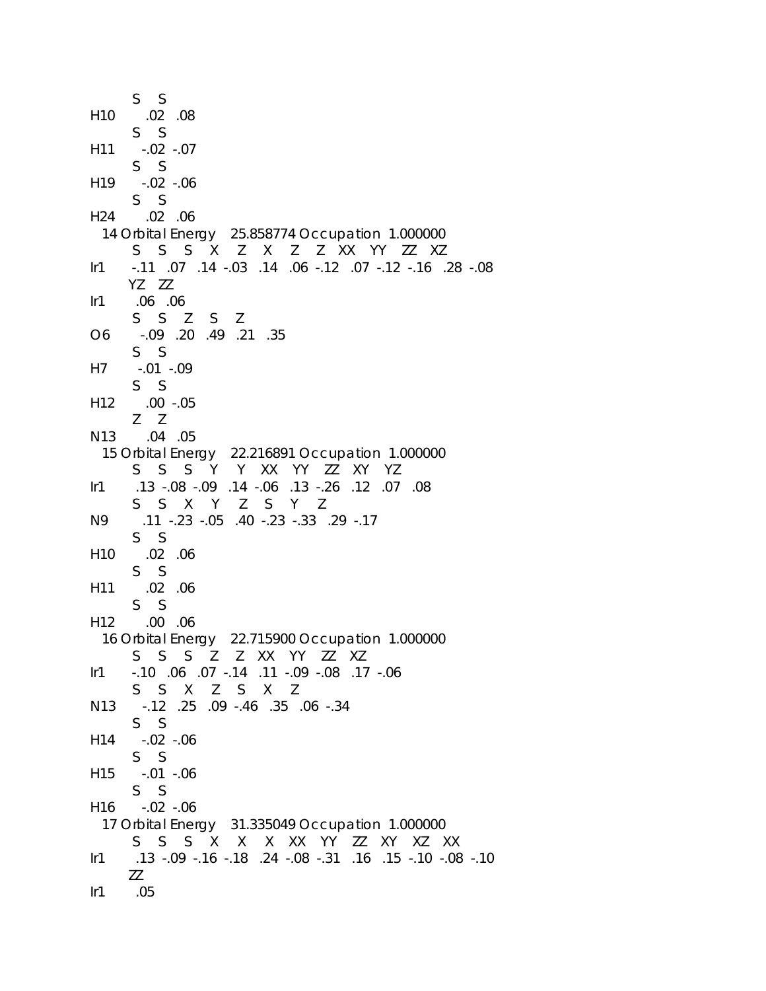```
 S S 
H10 .02 .08 
      S S 
H11 -.02 -.07 
      S S 
H19 -.02 -.06 
      S S 
H24 .02 .06 
  14 Orbital Energy 25.858774 Occupation 1.000000 
      S S S X Z X Z Z XX YY ZZ XZ 
Ir1 -.11 .07 .14 -.03 .14 .06 -.12 .07 -.12 -.16 .28 -.08 
      YZ ZZ 
Ir1 .06 .06 
      S S Z S Z 
O6 -.09 .20 .49 .21 .35 
      S S 
H7 -.01 -.09 
      S S 
H12 .00 -.05 
      Z Z 
N13 .04 .05 
  15 Orbital Energy 22.216891 Occupation 1.000000 
      S S S Y Y XX YY ZZ XY YZ 
Ir1 .13 -.08 -.09 .14 -.06 .13 -.26 .12 .07 .08 
      S S X Y Z S Y Z 
N9 .11 -.23 -.05 .40 -.23 -.33 .29 -.17 
      S S 
H10 .02 .06 
      S S 
H11 .02 .06 
      S S 
H12 .00 .06 
  16 Orbital Energy 22.715900 Occupation 1.000000 
      S S S Z Z XX YY ZZ XZ 
Ir1 -.10 .06 .07 -.14 .11 -.09 -.08 .17 -.06 
      S S X Z S X Z 
N13 -.12 .25 .09 -.46 .35 .06 -.34 
      S S 
H14 -.02 -.06 
      S S 
H15 -.01 -.06 
      S S 
H16 -.02 -.06 
  17 Orbital Energy 31.335049 Occupation 1.000000 
      S S S X X X XX YY ZZ XY XZ XX 
Ir1 .13 -.09 -.16 -.18 .24 -.08 -.31 .16 .15 -.10 -.08 -.10 
     ZZ 
Ir1 .05
```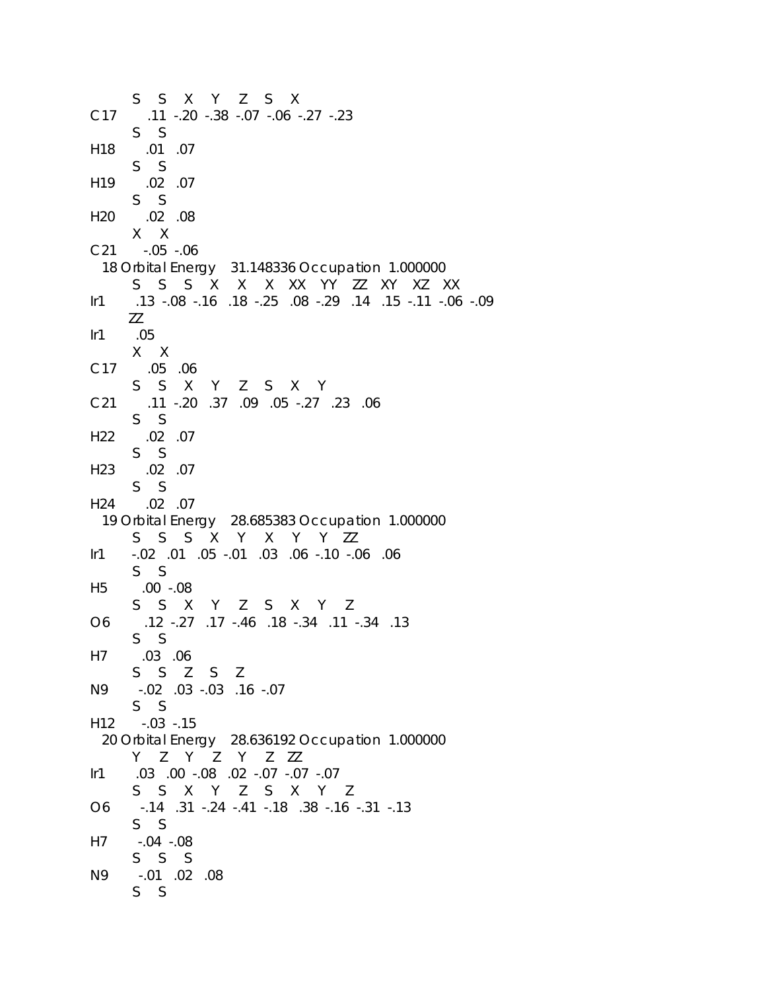S S X Y Z S X C17 .11 -.20 -.38 -.07 -.06 -.27 -.23 S S H18 .01 .07 S S H19 .02 .07 S S H20 .02 .08 X X C21 -.05 -.06 18 Orbital Energy 31.148336 Occupation 1.000000 S S S X X X XX YY ZZ XY XZ XX Ir1 .13 -.08 -.16 .18 -.25 .08 -.29 .14 .15 -.11 -.06 -.09 ZZ Ir1 .05 X X C17 .05 .06 S S X Y Z S X Y C21 .11 -.20 .37 .09 .05 -.27 .23 .06 S S H22 .02 .07 S S H23 .02 .07 S S H24 .02 .07 19 Orbital Energy 28.685383 Occupation 1.000000 S S S X Y X Y Y ZZ Ir1 -.02 .01 .05 -.01 .03 .06 -.10 -.06 .06 S S H5 .00 -.08 S S X Y Z S X Y Z O6 .12 -.27 .17 -.46 .18 -.34 .11 -.34 .13 S S H7 .03 .06 S S Z S Z N9 -.02 .03 -.03 .16 -.07 S S H12 -.03 -.15 20 Orbital Energy 28.636192 Occupation 1.000000 Y Z Y Z Y Z ZZ Ir1 .03 .00 -.08 .02 -.07 -.07 -.07 S S X Y Z S X Y Z O6 -.14 .31 -.24 -.41 -.18 .38 -.16 -.31 -.13 S S H7 -.04 -.08 S S S N9 -.01 .02 .08 S S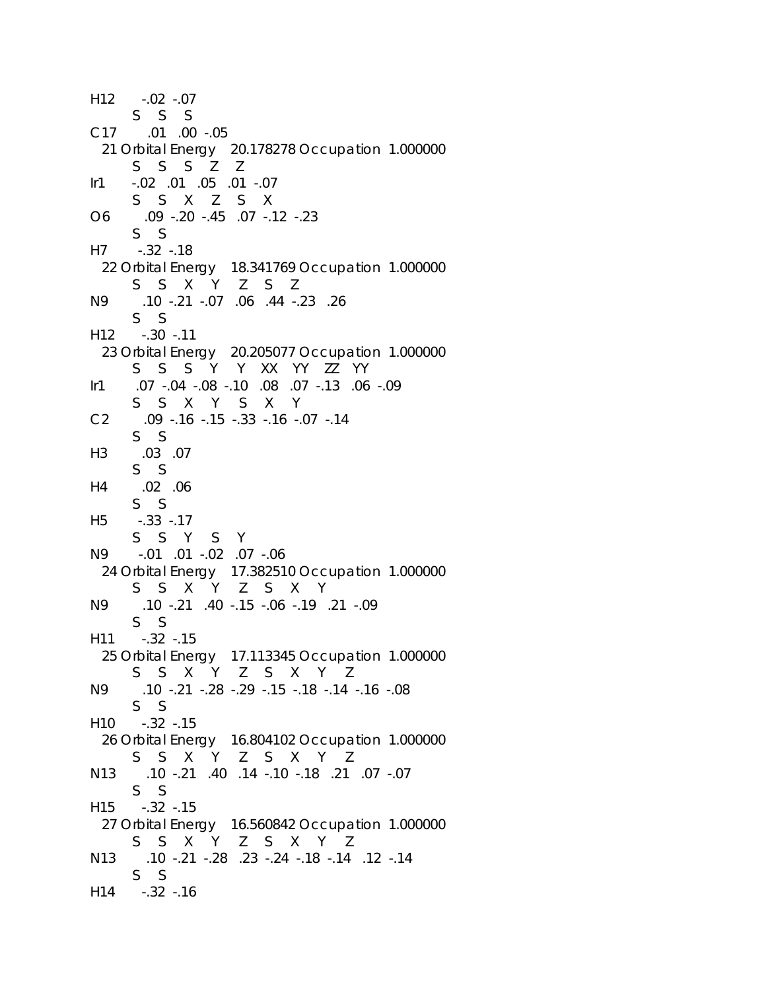```
H12 -.02 -.07 
      S S S 
C17 .01 .00 -.05 
  21 Orbital Energy 20.178278 Occupation 1.000000 
      S S S Z Z 
Ir1 -.02 .01 .05 .01 -.07 
      S S X Z S X 
O6 .09 -.20 -.45 .07 -.12 -.23 
      S S 
H7 -.32 -.18 
  22 Orbital Energy 18.341769 Occupation 1.000000 
      S S X Y Z S Z 
N9 .10 -.21 -.07 .06 .44 -.23 .26 
      S S 
H12 -.30 -.11 
  23 Orbital Energy 20.205077 Occupation 1.000000 
      S S S Y Y XX YY ZZ YY 
Ir1 .07 -.04 -.08 -.10 .08 .07 -.13 .06 -.09 
      S S X Y S X Y 
C2 .09 -.16 -.15 -.33 -.16 -.07 -.14 
      S S 
H3 .03 .07 
      S S 
H4 .02 .06 
      S S 
H5 -.33 -.17 
      S S Y S Y 
N9 -.01 .01 -.02 .07 -.06 
  24 Orbital Energy 17.382510 Occupation 1.000000 
      S S X Y Z S X Y 
N9 .10 -.21 .40 -.15 -.06 -.19 .21 -.09 
      S S 
H11 -.32 -.15 
  25 Orbital Energy 17.113345 Occupation 1.000000 
      S S X Y Z S X Y Z 
N9 .10 -.21 -.28 -.29 -.15 -.18 -.14 -.16 -.08 
      S S 
H10 -.32 -.15 
  26 Orbital Energy 16.804102 Occupation 1.000000 
      S S X Y Z S X Y Z 
N13 .10 -.21 .40 .14 -.10 -.18 .21 .07 -.07 
      S S 
H15 -.32 -.15 
  27 Orbital Energy 16.560842 Occupation 1.000000 
      S S X Y Z S X Y Z 
N13 .10 -.21 -.28 .23 -.24 -.18 -.14 .12 -.14 
      S S 
H14 -.32 -.16
```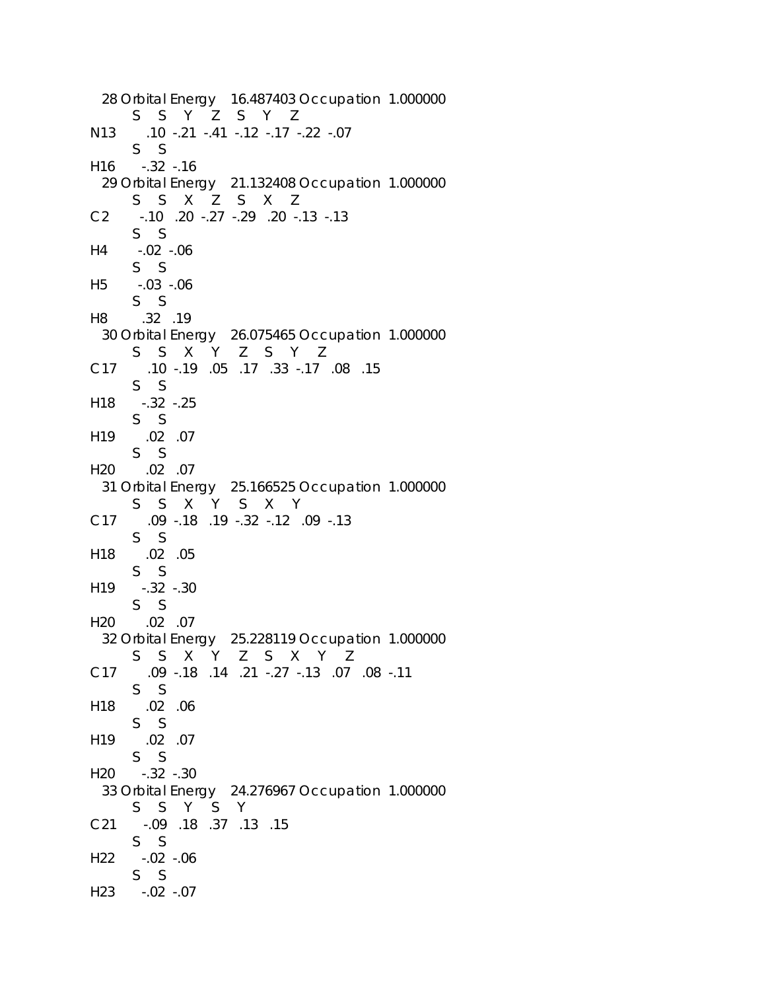```
 28 Orbital Energy 16.487403 Occupation 1.000000 
      S S Y Z S Y Z 
N13 .10 -.21 -.41 -.12 -.17 -.22 -.07 
      S S 
H16 -.32 -.16 
  29 Orbital Energy 21.132408 Occupation 1.000000 
      S S X Z S X Z 
C2 -.10 .20 -.27 -.29 .20 -.13 -.13 
      S S 
H4 -.02 -.06 
      S S 
H5 -.03 -.06 
      S S 
H8 .32 .19 
  30 Orbital Energy 26.075465 Occupation 1.000000 
      S S X Y Z S Y Z 
C17 .10 -.19 .05 .17 .33 -.17 .08 .15 
      S S 
H18 -.32 -.25 
      S S 
H19 .02 .07 
      S S 
H20 .02 .07 
  31 Orbital Energy 25.166525 Occupation 1.000000 
      S S X Y S X Y 
C17 .09 -.18 .19 -.32 -.12 .09 -.13 
      S S 
H18 .02 .05 
      S S 
H19 -.32 -.30 
      S S 
H20 .02 .07 
  32 Orbital Energy 25.228119 Occupation 1.000000 
      S S X Y Z S X Y Z 
C17 .09 -.18 .14 .21 -.27 -.13 .07 .08 -.11 
      S S 
H18 .02 .06 
      S S 
H19 .02 .07 
      S S 
H20 -.32 -.30 
  33 Orbital Energy 24.276967 Occupation 1.000000 
      S S Y S Y 
C21 -.09 .18 .37 .13 .15 
      S S 
H22 -.02 -.06 
      S S 
H23 -.02 -.07
```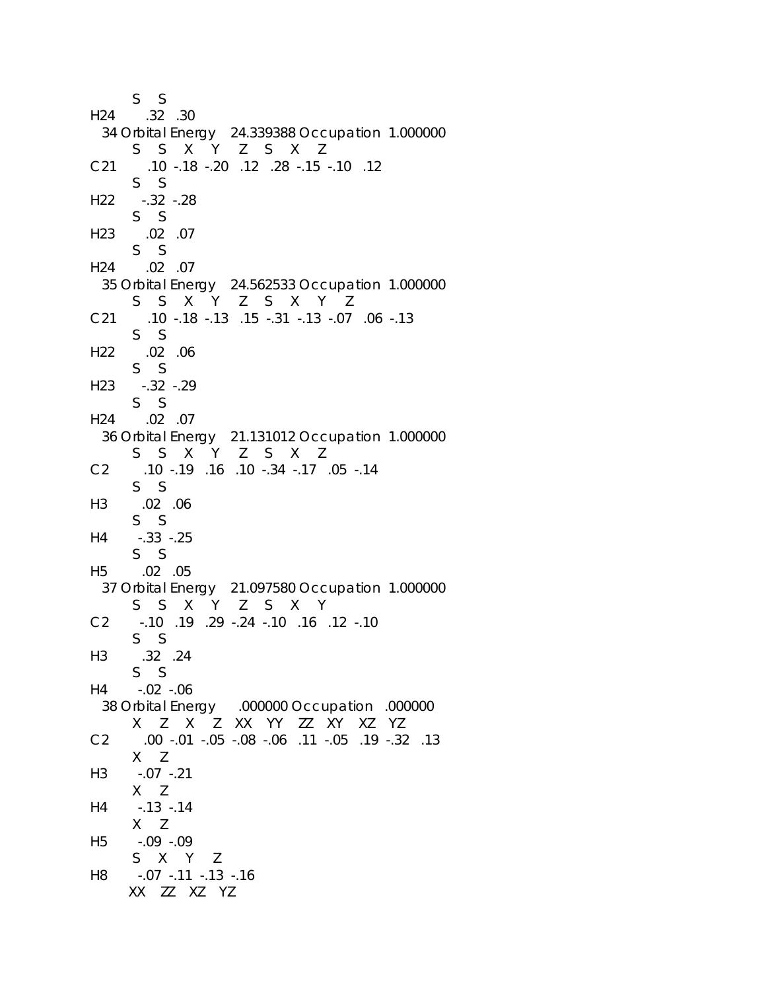```
 S S 
H24 .32 .30 
  34 Orbital Energy 24.339388 Occupation 1.000000 
      S S X Y Z S X Z 
C21 .10 -.18 -.20 .12 .28 -.15 -.10 .12 
      S S 
H22 -.32 -.28 
      S S 
H23 .02 .07 
      S S 
H24 .02 .07 
  35 Orbital Energy 24.562533 Occupation 1.000000 
      S S X Y Z S X Y Z 
C21 .10 -.18 -.13 .15 -.31 -.13 -.07 .06 -.13 
      S S 
H22 .02 .06 
      S S 
H23 -.32 -.29 
      S S 
H24 .02 .07 
  36 Orbital Energy 21.131012 Occupation 1.000000 
      S S X Y Z S X Z 
C2 .10 -.19 .16 .10 -.34 -.17 .05 -.14 
      S S 
H3 .02 .06 
      S S 
H4 -.33 -.25 
      S S 
H5 .02 .05 
  37 Orbital Energy 21.097580 Occupation 1.000000 
      S S X Y Z S X Y 
C2 -.10 .19 .29 -.24 -.10 .16 .12 -.10 
      S S 
H3 .32 .24 
      S S 
H4 -.02 -.06 
  38 Orbital Energy .000000 Occupation .000000 
      X Z X Z XX YY ZZ XY XZ YZ 
C2 .00 -.01 -.05 -.08 -.06 .11 -.05 .19 -.32 .13 
      X Z 
H3 -.07 -.21 
      X Z 
H4 -.13 -.14 
      X Z 
H5 -.09 -.09 
      S X Y Z 
H8 -.07 -.11 -.13 -.16 
      XX ZZ XZ YZ
```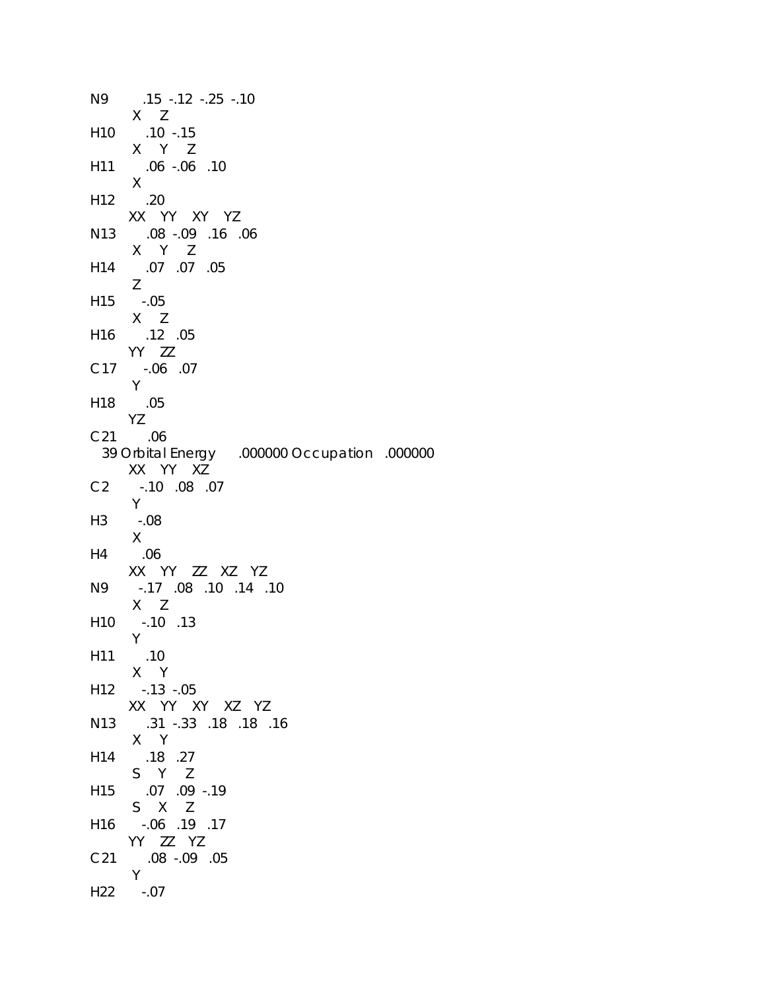N9 .15 -.12 -.25 -.10 X Z H10 .10 -.15 X Y Z H11 .06 -.06 .10 X H12 .20 XX YY XY YZ N13 .08 -.09 .16 .06 X Y Z H14 .07 .07 .05 Z H15 -.05 X Z H16 .12 .05 YY ZZ C17 -.06 .07 Y H18 .05 YZ C21 .06 39 Orbital Energy .000000 Occupation .000000 XX YY XZ C2 -.10 .08 .07 Y H3 -.08 X H4 .06 XX YY ZZ XZ YZ N9 -.17 .08 .10 .14 .10 X Z H10 -.10 .13 Y H11 .10 X Y H12 -.13 -.05 XX YY XY XZ YZ N13 .31 -.33 .18 .18 .16 X Y H14 .18 .27 S Y Z H15 .07 .09 -.19 S X Z H16 -.06 .19 .17 YY ZZ YZ C21 .08 -.09 .05 Y H22 -.07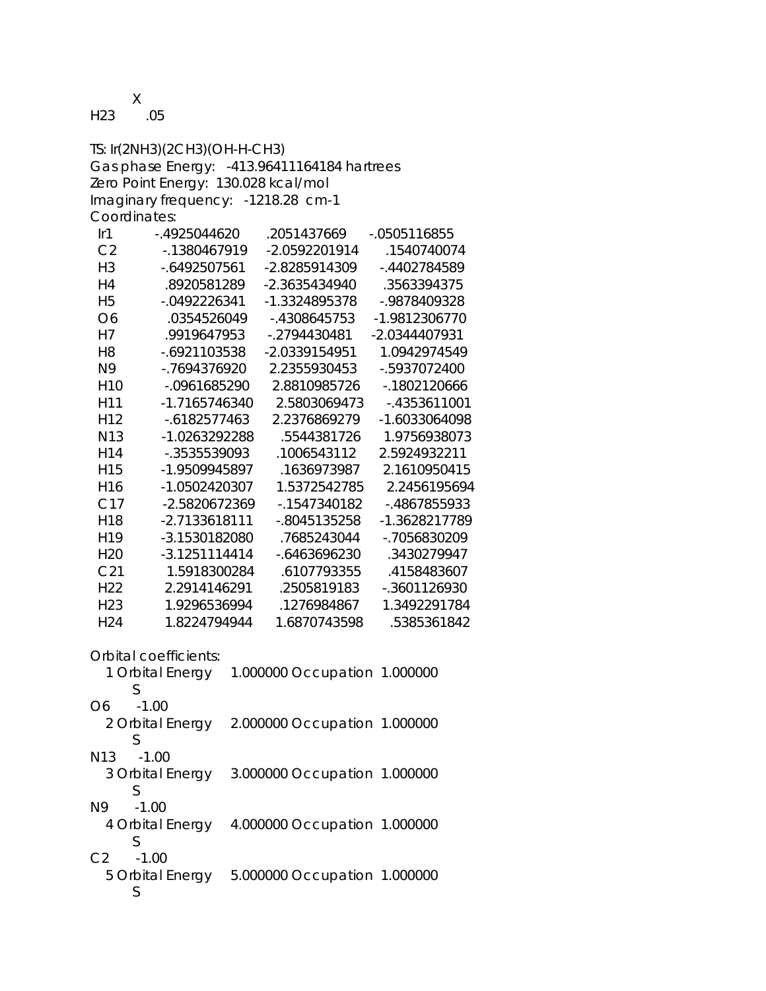X

H23 .05

TS: Ir(2NH3)(2CH3)(OH-H-CH3) Gas phase Energy: -413.96411164184 hartrees Zero Point Energy: 130.028 kcal/mol Imaginary frequency: -1218.28 cm-1 Coordinates: Ir1 -.4925044620 .2051437669 -.0505116855 C2 -.1380467919 -2.0592201914 .1540740074 H3 -.6492507561 -2.8285914309 -.4402784589 H4 .8920581289 -2.3635434940 .3563394375 H5 -.0492226341 -1.3324895378 -.9878409328 O6 .0354526049 -.4308645753 -1.9812306770 H7 .9919647953 -.2794430481 -2.0344407931 H8 -.6921103538 -2.0339154951 1.0942974549 N9 -.7694376920 2.2355930453 -.5937072400 H10 -.0961685290 2.8810985726 -.1802120666 H11 -1.7165746340 2.5803069473 -.4353611001 H12 -.6182577463 2.2376869279 -1.6033064098 N13 -1.0263292288 .5544381726 1.9756938073 H14 -.3535539093 .1006543112 2.5924932211 H15 -1.9509945897 .1636973987 2.1610950415 H16 -1.0502420307 1.5372542785 2.2456195694 C17 -2.5820672369 -.1547340182 -.4867855933 H18 -2.7133618111 -.8045135258 -1.3628217789 H19 -3.1530182080 .7685243044 -.7056830209 H20 -3.1251114414 -.6463696230 .3430279947 C21 1.5918300284 .6107793355 .4158483607 H22 2.2914146291 .2505819183 -.3601126930 H23 1.9296536994 .1276984867 1.3492291784 H24 1.8224794944 1.6870743598 .5385361842 Orbital coefficients:

 1 Orbital Energy 1.000000 Occupation 1.000000 S O6 -1.00 2 Orbital Energy 2.000000 Occupation 1.000000 S N13 -1.00 3 Orbital Energy 3.000000 Occupation 1.000000 S N9 -1.00 4 Orbital Energy 4.000000 Occupation 1.000000 S C2 -1.00 5 Orbital Energy 5.000000 Occupation 1.000000 S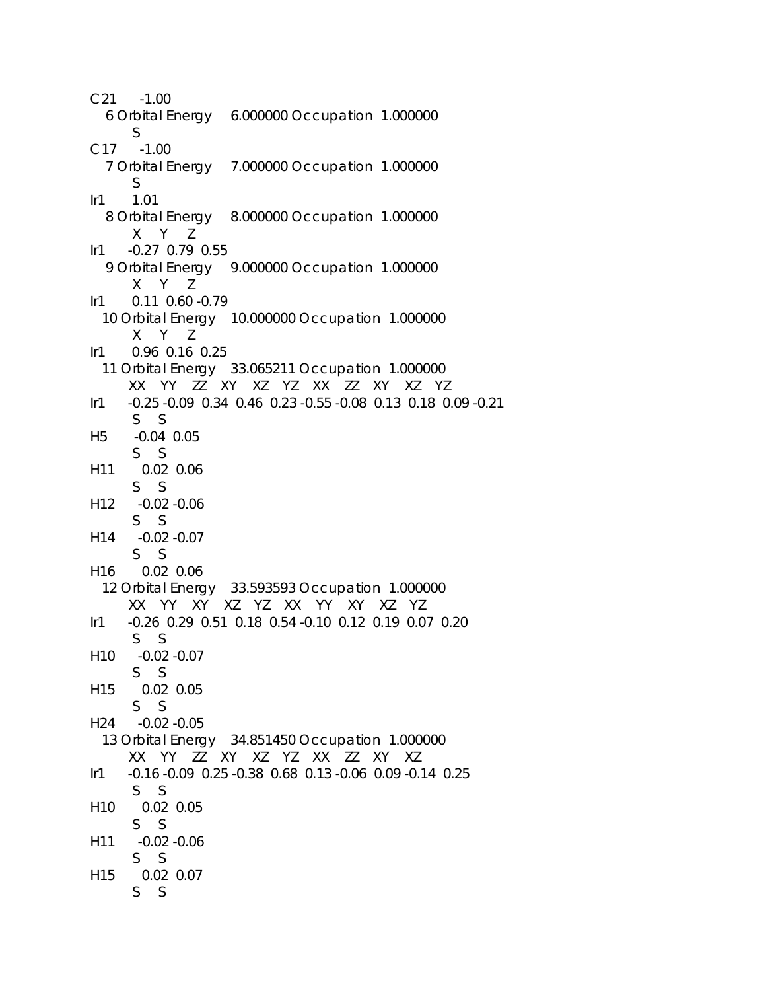C21 -1.00 6 Orbital Energy 6.000000 Occupation 1.000000 S C17 -1.00 7 Orbital Energy 7.000000 Occupation 1.000000 S Ir1 1.01 8 Orbital Energy 8.000000 Occupation 1.000000 X Y Z Ir1 -0.27 0.79 0.55 9 Orbital Energy 9.000000 Occupation 1.000000 X Y Z Ir1 0.11 0.60 -0.79 10 Orbital Energy 10.000000 Occupation 1.000000 X Y Z Ir1 0.96 0.16 0.25 11 Orbital Energy 33.065211 Occupation 1.000000 XX YY ZZ XY XZ YZ XX ZZ XY XZ YZ Ir1 -0.25 -0.09 0.34 0.46 0.23 -0.55 -0.08 0.13 0.18 0.09 -0.21 S S H5 -0.04 0.05 S S H11 0.02 0.06 S S H12 -0.02 -0.06 S S H14 -0.02 -0.07 S S H16 0.02 0.06 12 Orbital Energy 33.593593 Occupation 1.000000 XX YY XY XZ YZ XX YY XY XZ YZ Ir1 -0.26 0.29 0.51 0.18 0.54 -0.10 0.12 0.19 0.07 0.20 S S H10 -0.02 -0.07 S S H15 0.02 0.05 S S H24 -0.02 -0.05 13 Orbital Energy 34.851450 Occupation 1.000000 XX YY ZZ XY XZ YZ XX ZZ XY XZ Ir1 -0.16 -0.09 0.25 -0.38 0.68 0.13 -0.06 0.09 -0.14 0.25 S S H10 0.02 0.05 S S H11 -0.02 -0.06 S S H15 0.02 0.07 S S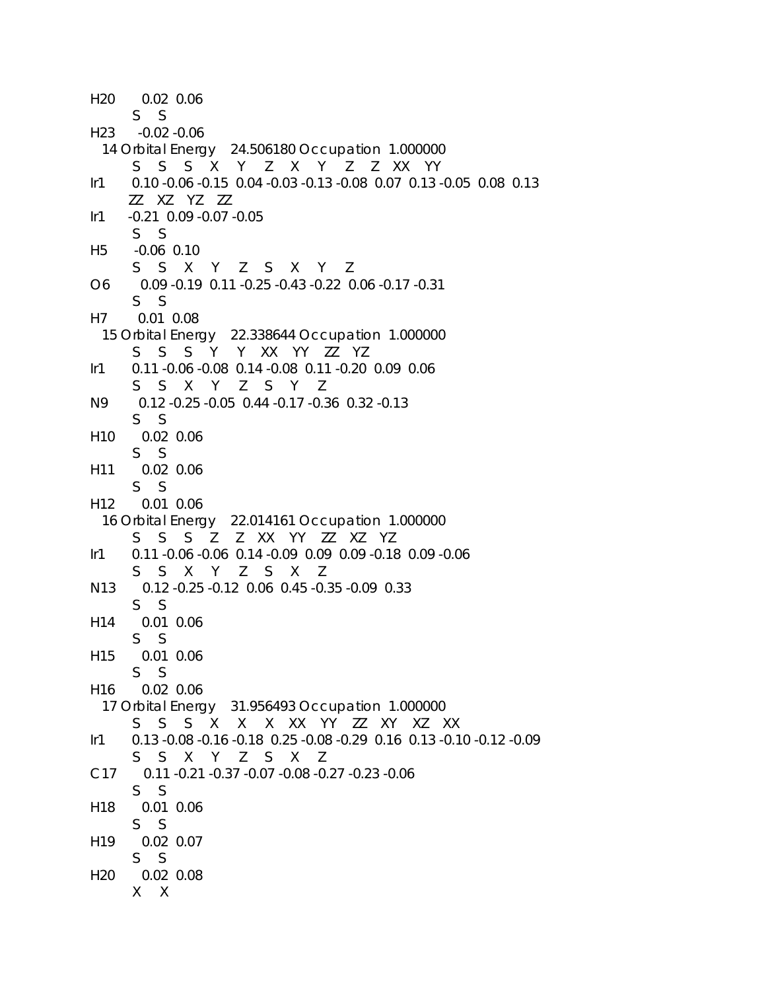```
H20 0.02 0.06 
      S S 
H23 -0.02 -0.06 
  14 Orbital Energy 24.506180 Occupation 1.000000 
      S S S X Y Z X Y Z Z XX YY 
Ir1 0.10 -0.06 -0.15 0.04 -0.03 -0.13 -0.08 0.07 0.13 -0.05 0.08 0.13 
      ZZ XZ YZ ZZ 
Ir1 -0.21 0.09 -0.07 -0.05 
      S S 
H5 -0.06 0.10 
      S S X Y Z S X Y Z 
O6 0.09 -0.19 0.11 -0.25 -0.43 -0.22 0.06 -0.17 -0.31 
      S S 
H7 0.01 0.08 
  15 Orbital Energy 22.338644 Occupation 1.000000 
      S S S Y Y XX YY ZZ YZ 
Ir1 0.11 -0.06 -0.08 0.14 -0.08 0.11 -0.20 0.09 0.06 
      S S X Y Z S Y Z 
N9 0.12 -0.25 -0.05 0.44 -0.17 -0.36 0.32 -0.13 
      S S 
H10 0.02 0.06 
      S S 
H11 0.02 0.06 
      S S 
H12 0.01 0.06 
  16 Orbital Energy 22.014161 Occupation 1.000000 
      S S S Z Z XX YY ZZ XZ YZ 
Ir1 0.11 -0.06 -0.06 0.14 -0.09 0.09 0.09 -0.18 0.09 -0.06 
      S S X Y Z S X Z 
N13 0.12 -0.25 -0.12 0.06 0.45 -0.35 -0.09 0.33 
      S S 
H14 0.01 0.06 
      S S 
H15 0.01 0.06 
      S S 
H16 0.02 0.06 
  17 Orbital Energy 31.956493 Occupation 1.000000 
      S S S X X X XX YY ZZ XY XZ XX 
Ir1 0.13 -0.08 -0.16 -0.18 0.25 -0.08 -0.29 0.16 0.13 -0.10 -0.12 -0.09 
      S S X Y Z S X Z 
C17 0.11 -0.21 -0.37 -0.07 -0.08 -0.27 -0.23 -0.06 
      S S 
H18 0.01 0.06 
      S S 
H19 0.02 0.07 
      S S 
H20 0.02 0.08 
      X X
```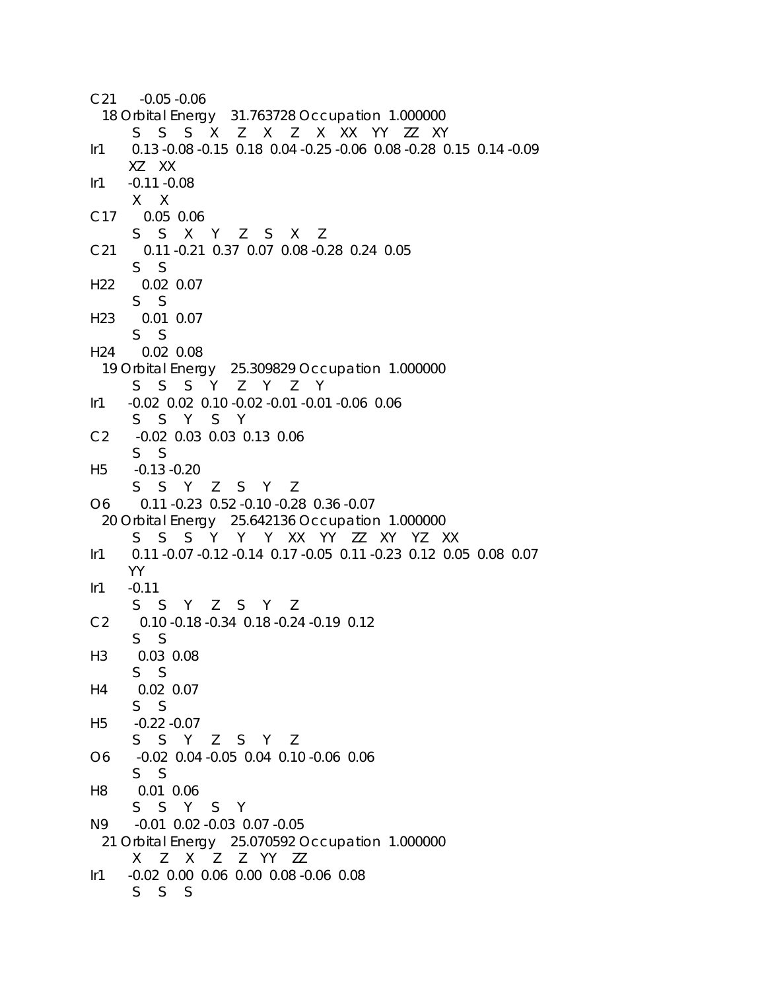```
C21 -0.05 -0.06 
  18 Orbital Energy 31.763728 Occupation 1.000000 
      S S S X Z X Z X XX YY ZZ XY 
Ir1 0.13 -0.08 -0.15 0.18 0.04 -0.25 -0.06 0.08 -0.28 0.15 0.14 -0.09 
      XZ XX 
Ir1 -0.11 -0.08 
      X X 
C17 0.05 0.06 
      S S X Y Z S X Z 
C21 0.11 -0.21 0.37 0.07 0.08 -0.28 0.24 0.05 
      S S 
H22 0.02 0.07 
      S S 
H23 0.01 0.07 
      S S 
H24 0.02 0.08 
  19 Orbital Energy 25.309829 Occupation 1.000000 
      S S S Y Z Y Z Y 
Ir1 -0.02 0.02 0.10 -0.02 -0.01 -0.01 -0.06 0.06 
      S S Y S Y 
C2 -0.02 0.03 0.03 0.13 0.06 
      S S 
H5 -0.13 -0.20 
      S S Y Z S Y Z 
O6 0.11 -0.23 0.52 -0.10 -0.28 0.36 -0.07 
  20 Orbital Energy 25.642136 Occupation 1.000000 
      S S S Y Y Y XX YY ZZ XY YZ XX 
Ir1 0.11 -0.07 -0.12 -0.14 0.17 -0.05 0.11 -0.23 0.12 0.05 0.08 0.07 
      YY 
Ir1 -0.11 S S Y Z S Y Z 
C2 0.10 -0.18 -0.34 0.18 -0.24 -0.19 0.12 
      S S 
H3 0.03 0.08 
      S S 
H4 0.02 0.07 
      S S 
H5 -0.22 -0.07 
      S S Y Z S Y Z 
O6 -0.02 0.04 -0.05 0.04 0.10 -0.06 0.06 
      S S 
H8 0.01 0.06 
      S S Y S Y 
N9 -0.01 0.02 -0.03 0.07 -0.05 
  21 Orbital Energy 25.070592 Occupation 1.000000 
      X Z X Z Z YY ZZ 
Ir1 -0.02 0.00 0.06 0.00 0.08 -0.06 0.08 
      S S S
```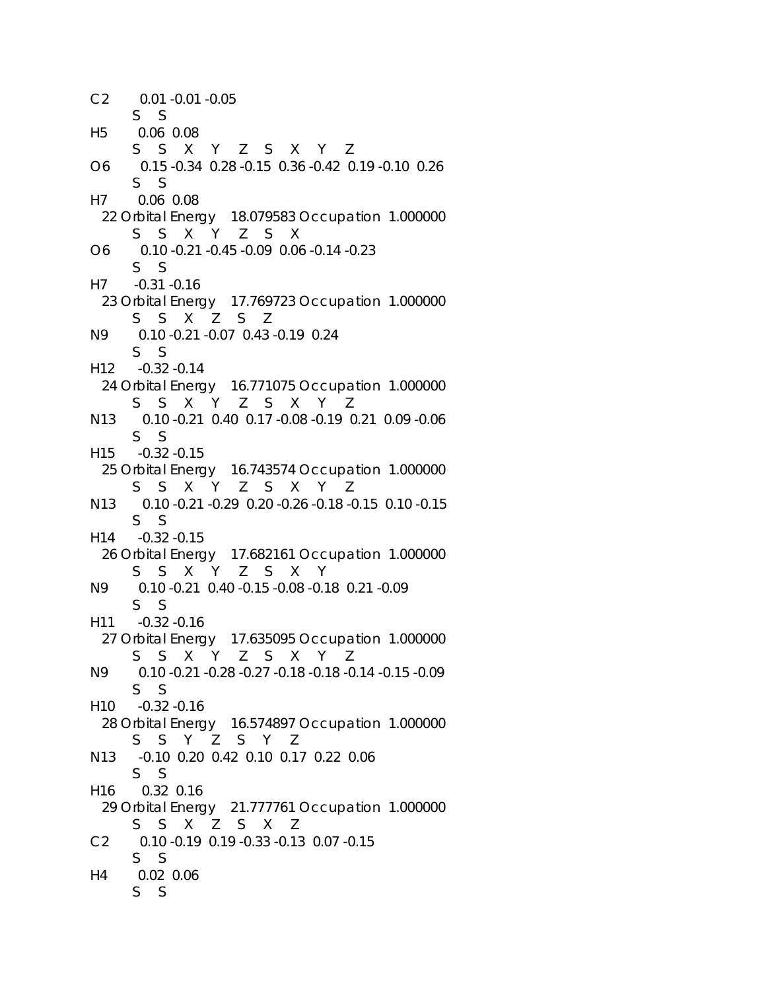C2 0.01 -0.01 -0.05 S S H5 0.06 0.08 S S X Y Z S X Y Z O6 0.15 -0.34 0.28 -0.15 0.36 -0.42 0.19 -0.10 0.26 S S H7 0.06 0.08 22 Orbital Energy 18.079583 Occupation 1.000000 S S X Y Z S X O6 0.10 -0.21 -0.45 -0.09 0.06 -0.14 -0.23 S S H7 -0.31 -0.16 23 Orbital Energy 17.769723 Occupation 1.000000 S S X Z S Z N9 0.10 -0.21 -0.07 0.43 -0.19 0.24 S S H12 -0.32 -0.14 24 Orbital Energy 16.771075 Occupation 1.000000 S S X Y Z S X Y Z N13 0.10 -0.21 0.40 0.17 -0.08 -0.19 0.21 0.09 -0.06 S S H15 -0.32 -0.15 25 Orbital Energy 16.743574 Occupation 1.000000 S S X Y Z S X Y Z N13 0.10 -0.21 -0.29 0.20 -0.26 -0.18 -0.15 0.10 -0.15 S S H14 -0.32 -0.15 26 Orbital Energy 17.682161 Occupation 1.000000 S S X Y Z S X Y N9 0.10 -0.21 0.40 -0.15 -0.08 -0.18 0.21 -0.09 S S H11 -0.32 -0.16 27 Orbital Energy 17.635095 Occupation 1.000000 S S X Y Z S X Y Z N9 0.10 -0.21 -0.28 -0.27 -0.18 -0.18 -0.14 -0.15 -0.09 S S H10 -0.32 -0.16 28 Orbital Energy 16.574897 Occupation 1.000000 S S Y Z S Y Z N13 -0.10 0.20 0.42 0.10 0.17 0.22 0.06 S S H16 0.32 0.16 29 Orbital Energy 21.777761 Occupation 1.000000 S S X Z S X Z C2 0.10 -0.19 0.19 -0.33 -0.13 0.07 -0.15 S S H4 0.02 0.06 S S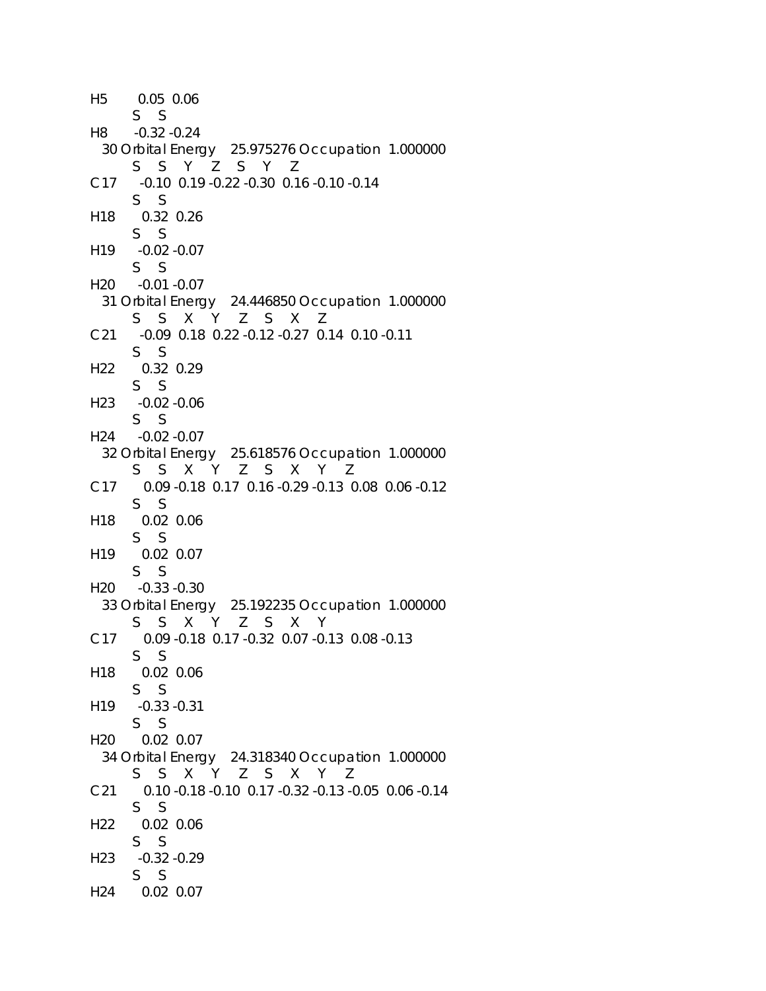```
H5 0.05 0.06 
      S S 
H8 -0.32 -0.24 
  30 Orbital Energy 25.975276 Occupation 1.000000 
      S S Y Z S Y Z 
C17 -0.10 0.19 -0.22 -0.30 0.16 -0.10 -0.14 
      S S 
H18 0.32 0.26 
      S S 
H19 -0.02 -0.07 
      S S 
H20 -0.01 -0.07 
  31 Orbital Energy 24.446850 Occupation 1.000000 
      S S X Y Z S X Z 
C21 -0.09 0.18 0.22 -0.12 -0.27 0.14 0.10 -0.11 
      S S 
H22 0.32 0.29 
      S S 
H23 -0.02 -0.06 
      S S 
H24 -0.02 -0.07 
  32 Orbital Energy 25.618576 Occupation 1.000000 
      S S X Y Z S X Y Z 
C17 0.09 -0.18 0.17 0.16 -0.29 -0.13 0.08 0.06 -0.12 
      S S 
H18 0.02 0.06 
      S S 
H19 0.02 0.07 
      S S 
H20 -0.33 -0.30 
  33 Orbital Energy 25.192235 Occupation 1.000000 
      S S X Y Z S X Y 
C17 0.09 -0.18 0.17 -0.32 0.07 -0.13 0.08 -0.13 
      S S 
H18 0.02 0.06 
      S S 
H19 -0.33 -0.31 
      S S 
H20 0.02 0.07 
  34 Orbital Energy 24.318340 Occupation 1.000000 
      S S X Y Z S X Y Z 
C21 0.10 -0.18 -0.10 0.17 -0.32 -0.13 -0.05 0.06 -0.14 
      S S 
H22 0.02 0.06 
      S S 
H23 -0.32 -0.29 
      S S 
H24 0.02 0.07
```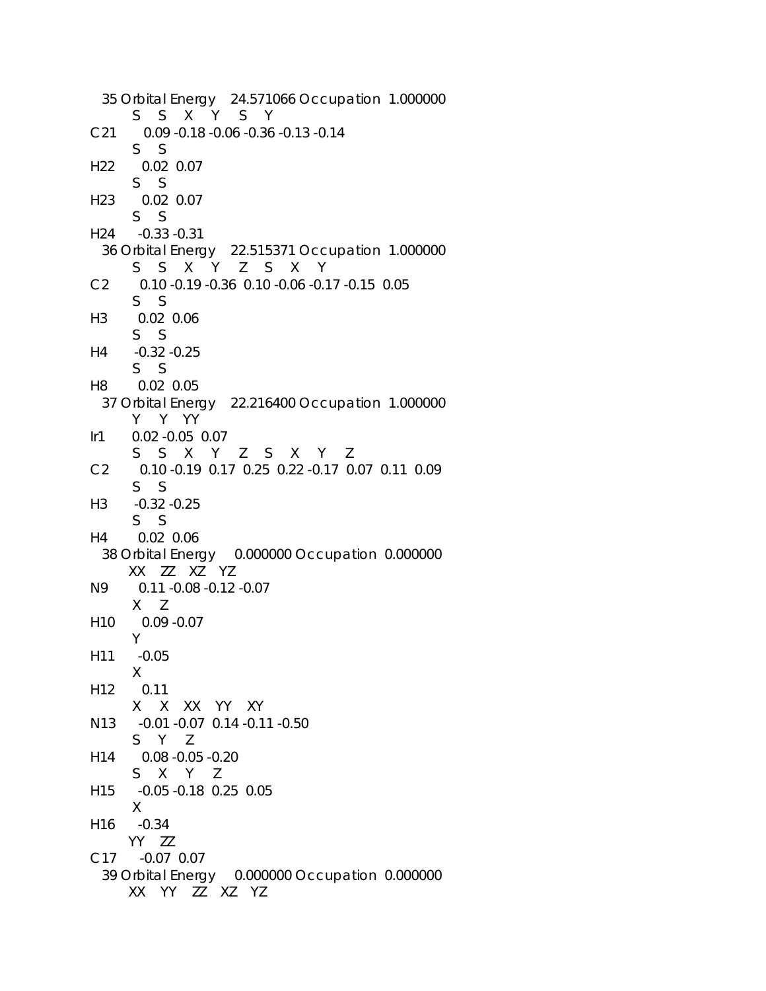```
 35 Orbital Energy 24.571066 Occupation 1.000000 
      S S X Y S Y 
C21 0.09 -0.18 -0.06 -0.36 -0.13 -0.14 
      S S 
H22 0.02 0.07 
      S S 
H23 0.02 0.07 
      S S 
H24 -0.33 -0.31 
  36 Orbital Energy 22.515371 Occupation 1.000000 
      S S X Y Z S X Y 
C2 0.10 -0.19 -0.36 0.10 -0.06 -0.17 -0.15 0.05 
      S S 
H3 0.02 0.06 
      S S 
H4 -0.32 -0.25 
      S S 
H8 0.02 0.05 
  37 Orbital Energy 22.216400 Occupation 1.000000 
      Y Y YY 
Ir1 0.02 -0.05 0.07 
      S S X Y Z S X Y Z 
C2 0.10 -0.19 0.17 0.25 0.22 -0.17 0.07 0.11 0.09 
      S S 
H3 -0.32 -0.25 
      S S 
H4 0.02 0.06 
  38 Orbital Energy 0.000000 Occupation 0.000000 
      XX ZZ XZ YZ 
N9 0.11 -0.08 -0.12 -0.07 
      X Z 
H10 0.09 -0.07 
      Y 
H11 -0.05 
      X 
H12 0.11 
      X X XX YY XY 
N13 -0.01 -0.07 0.14 -0.11 -0.50 
      S Y Z 
H14 0.08 -0.05 -0.20 
      S X Y Z 
H15 -0.05 -0.18 0.25 0.05 
      X 
H16 -0.34 
      YY ZZ 
C17 -0.07 0.07 
  39 Orbital Energy 0.000000 Occupation 0.000000 
      XX YY ZZ XZ YZ
```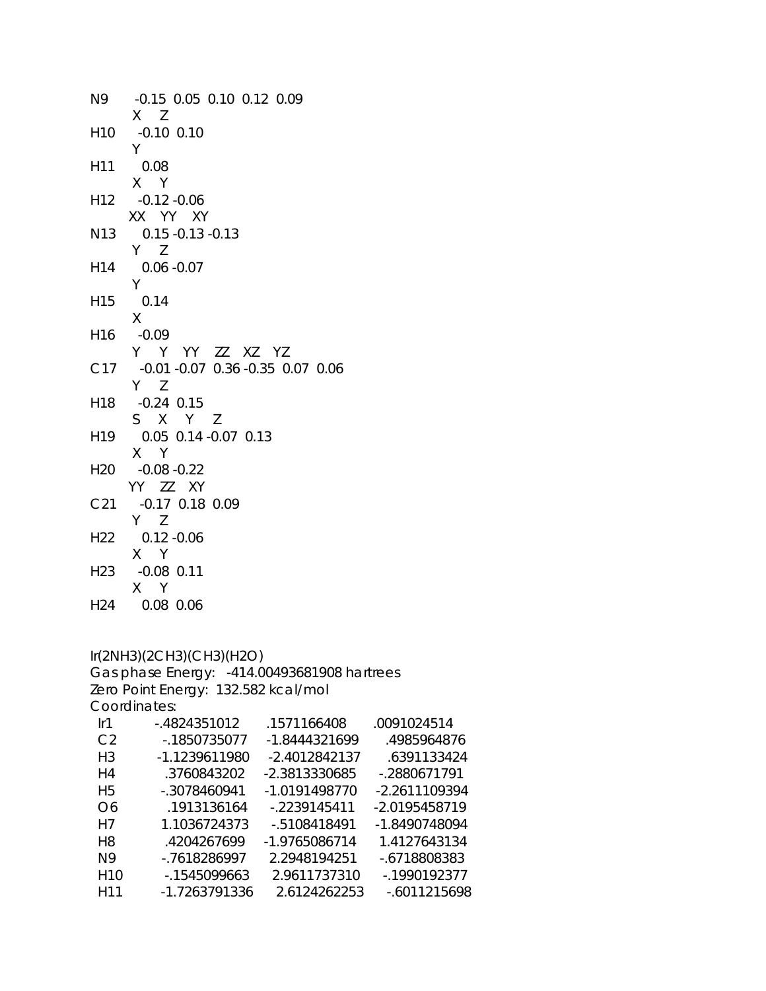| -0.15 0.05 0.10 0.12 0.09<br>$X$ $Z$                |
|-----------------------------------------------------|
| $-0.10$ $0.10$                                      |
| 0.08                                                |
| $X$ Y<br>$-0.12 - 0.06$                             |
| XX YY XY<br>$0.15 - 0.13 - 0.13$                    |
| Y Z<br>$0.06 - 0.07$                                |
| Y.<br>0.14                                          |
| $-0.09$                                             |
| Y Y YY ZZ XZ YZ<br>-0.01 -0.07 0.36 -0.35 0.07 0.06 |
| $Y$ $Z$<br>$-0.24$ 0.15                             |
| S X Y Z<br>0.05 0.14 -0.07 0.13                     |
| X Y<br>$-0.08 - 0.22$                               |
| YY ZZ XY<br>$-0.17$ 0.18 0.09                       |
| $Y$ $Z$<br>$0.12 - 0.06$                            |
| X Y<br>$-0.08$ 0.11                                 |
| X Y<br>0.08 0.06                                    |
| Y                                                   |

## Ir(2NH3)(2CH3)(CH3)(H2O)

Gas phase Energy: -414.00493681908 hartrees Zero Point Energy: 132.582 kcal/mol Coordinates:

| lr1             | $-4824351012$ | .1571166408   | .0091024514     |
|-----------------|---------------|---------------|-----------------|
| C <sub>2</sub>  | -.1850735077  | -1.8444321699 | .4985964876     |
| H <sub>3</sub>  | -1.1239611980 | -2.4012842137 | .6391133424     |
| H4              | .3760843202   | -2.3813330685 | -.2880671791    |
| H <sub>5</sub>  | -.3078460941  | -1.0191498770 | -2.2611109394   |
| O6              | .1913136164   | $-2239145411$ | -2.0195458719   |
| H7              | 1.1036724373  | -.5108418491  | -1.8490748094   |
| H <sub>8</sub>  | .4204267699   | -1.9765086714 | 1.4127643134    |
| N9              | -.7618286997  | 2.2948194251  | -.6718808383    |
| H10             | -.1545099663  | 2.9611737310  | -.1990192377    |
| H <sub>11</sub> | -1.7263791336 | 2.6124262253  | $-0.6011215698$ |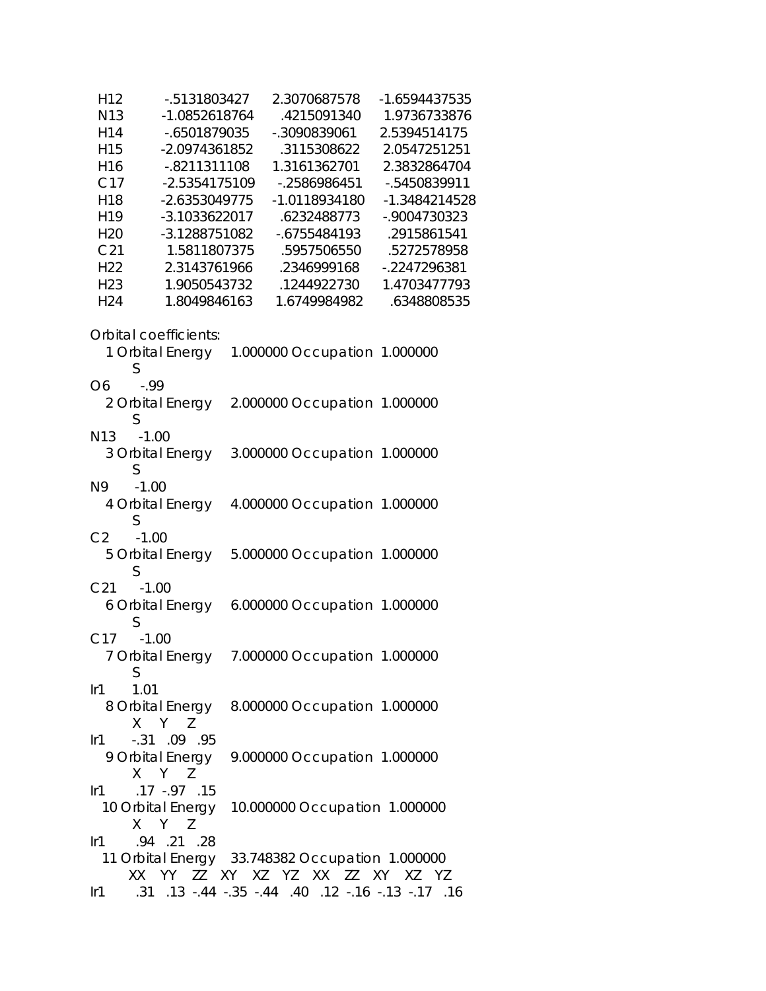| H <sub>12</sub> | $-0.5131803427$       | 2.3070687578                                              | -1.6594437535 |  |
|-----------------|-----------------------|-----------------------------------------------------------|---------------|--|
| N <sub>13</sub> | -1.0852618764         | .4215091340 1.9736733876                                  |               |  |
| H14             | -.6501879035          | -.3090839061                                              | 2.5394514175  |  |
| H <sub>15</sub> | -2.0974361852         | .3115308622 2.0547251251                                  |               |  |
| H16             | -.8211311108          | 1.3161362701                                              | 2.3832864704  |  |
|                 |                       |                                                           |               |  |
| C17             | -2.5354175109         | -.2586986451                                              | -.5450839911  |  |
| H18             | -2.6353049775         | $-1.0118934180$                                           | -1.3484214528 |  |
| H19             | -3.1033622017         | .6232488773                                               | -.9004730323  |  |
| H <sub>20</sub> | -3.1288751082         | -.6755484193                                              | .2915861541   |  |
| C <sub>21</sub> |                       | 1.5811807375 .5957506550                                  | .5272578958   |  |
| H <sub>22</sub> |                       | 2.3143761966 .2346999168                                  | -.2247296381  |  |
|                 | H23                   |                                                           | 1.4703477793  |  |
| H24             |                       |                                                           | .6348808535   |  |
|                 |                       |                                                           |               |  |
|                 | Orbital coefficients: |                                                           |               |  |
|                 |                       | 1 Orbital Energy 1.000000 Occupation 1.000000             |               |  |
|                 | S                     |                                                           |               |  |
| O <sub>6</sub>  | $-0.99$               |                                                           |               |  |
|                 |                       |                                                           |               |  |
|                 |                       | 2 Orbital Energy 2.000000 Occupation 1.000000             |               |  |
|                 | S                     |                                                           |               |  |
|                 | N13 -1.00             |                                                           |               |  |
|                 | 3 Orbital Energy      | 3.000000 Occupation 1.000000                              |               |  |
|                 | S                     |                                                           |               |  |
| N9              | $-1.00$               |                                                           |               |  |
|                 | 4 Orbital Energy      | 4.000000 Occupation 1.000000                              |               |  |
|                 | S                     |                                                           |               |  |
| C <sub>2</sub>  | $-1.00$               |                                                           |               |  |
|                 |                       | 5 Orbital Energy 5.000000 Occupation 1.000000             |               |  |
|                 | S                     |                                                           |               |  |
| C <sub>21</sub> | $-1.00$               |                                                           |               |  |
|                 |                       | 6 Orbital Energy 6.000000 Occupation 1.000000             |               |  |
|                 |                       |                                                           |               |  |
|                 | S                     |                                                           |               |  |
|                 | C17 -1.00             |                                                           |               |  |
|                 |                       | 7 Orbital Energy 7.000000 Occupation 1.000000             |               |  |
|                 | S                     |                                                           |               |  |
| $l$ r1          | 1.01                  |                                                           |               |  |
|                 |                       | 8 Orbital Energy 8.000000 Occupation 1.000000             |               |  |
|                 | X Y Z                 |                                                           |               |  |
| Ir1             | $-.31$ .09 .95        |                                                           |               |  |
|                 |                       | 9 Orbital Energy 9.000000 Occupation 1.000000             |               |  |
|                 | X Y Z                 |                                                           |               |  |
|                 | lr1 .17 -.97 .15      |                                                           |               |  |
|                 |                       |                                                           |               |  |
|                 |                       | 10 Orbital Energy  10.000000 Occupation  1.000000         |               |  |
|                 | X Y Z                 |                                                           |               |  |
|                 | lr1 .94 .21 .28       |                                                           |               |  |
|                 |                       | 11 Orbital Energy 33.748382 Occupation 1.000000           |               |  |
|                 |                       | XX YY ZZ XY XZ YZ XX ZZ XY XZ YZ                          |               |  |
|                 |                       | 16. 17. 13. - 18. - 16. 12. 40. 144. - 35. 44. 13. 15. 11 |               |  |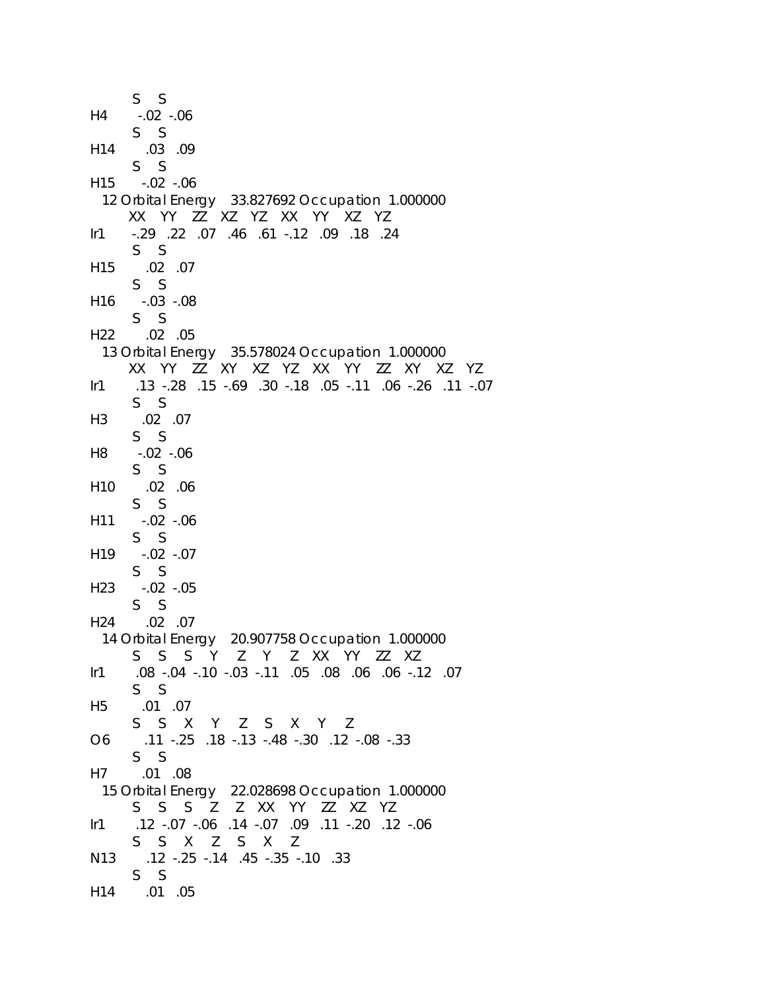```
 S S 
H4 -.02 -.06 
      S S 
H14 .03 .09 
      S S 
H15 -.02 -.06 
  12 Orbital Energy 33.827692 Occupation 1.000000 
      XX YY ZZ XZ YZ XX YY XZ YZ 
Ir1 -.29 .22 .07 .46 .61 -.12 .09 .18 .24 
      S S 
H15 .02 .07 
      S S 
H16 -.03 -.08 
      S S 
H22 .02 .05 
  13 Orbital Energy 35.578024 Occupation 1.000000 
      XX YY ZZ XY XZ YZ XX YY ZZ XY XZ YZ 
Ir1 .13 -.28 .15 -.69 .30 -.18 .05 -.11 .06 -.26 .11 -.07 
      S S 
H3 .02 .07 
      S S 
H8 -.02 -.06 
      S S 
H10 .02 .06 
      S S 
H11 -.02 -.06 
      S S 
H19 -.02 -.07 
      S S 
H23 -.02 -.05 
      S S 
H24 .02 .07 
  14 Orbital Energy 20.907758 Occupation 1.000000 
      S S S Y Z Y Z XX YY ZZ XZ 
Ir1 .08 -.04 -.10 -.03 -.11 .05 .08 .06 .06 -.12 .07 
      S S 
H5 .01 .07 
      S S X Y Z S X Y Z 
O6 .11 -.25 .18 -.13 -.48 -.30 .12 -.08 -.33 
      S S 
H7 .01 .08 
  15 Orbital Energy 22.028698 Occupation 1.000000 
      S S S Z Z XX YY ZZ XZ YZ 
Ir1 .12 -.07 -.06 .14 -.07 .09 .11 -.20 .12 -.06 
      S S X Z S X Z 
N13 .12 -.25 -.14 .45 -.35 -.10 .33 
      S S 
H14 .01 .05
```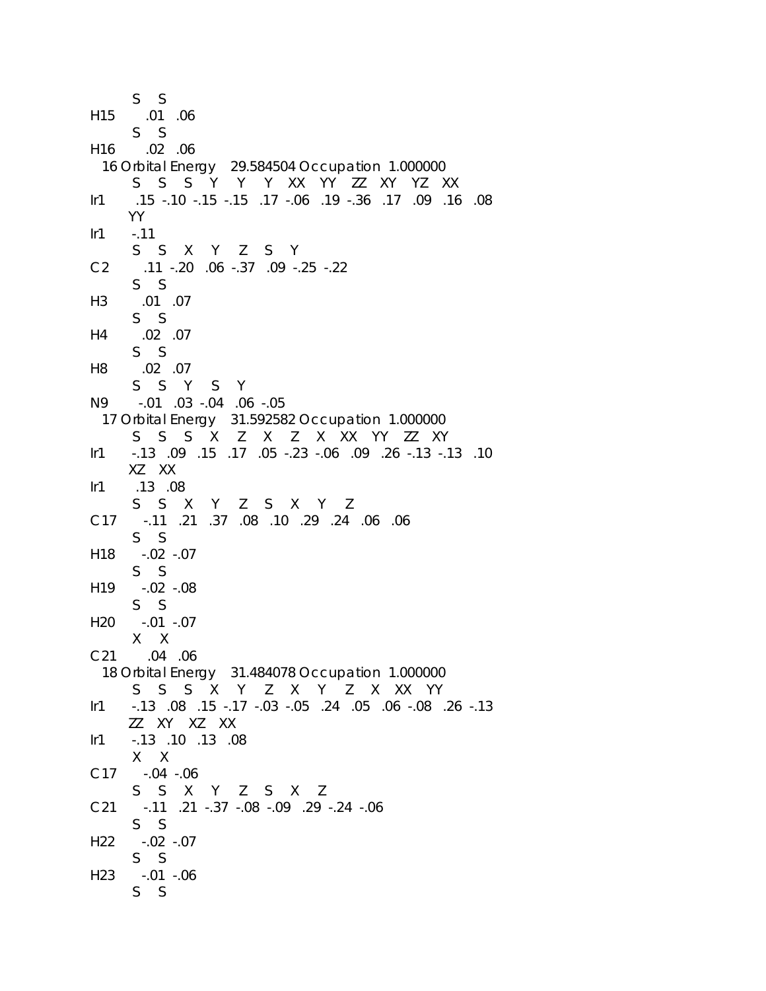```
 S S 
H15 .01 .06 
      S S 
H16 .02 .06 
  16 Orbital Energy 29.584504 Occupation 1.000000 
      S S S Y Y Y XX YY ZZ XY YZ XX 
Ir1 .15 -.10 -.15 -.15 .17 -.06 .19 -.36 .17 .09 .16 .08 
     YY 
Ir1 - .11 S S X Y Z S Y 
C2 .11 -.20 .06 -.37 .09 -.25 -.22 
      S S 
H3 .01 .07 
      S S 
H4 .02 .07 
      S S 
H8 .02 .07 
      S S Y S Y 
N9 -.01 .03 -.04 .06 -.05 
  17 Orbital Energy 31.592582 Occupation 1.000000 
      S S S X Z X Z X XX YY ZZ XY 
Ir1 -.13 .09 .15 .17 .05 -.23 -.06 .09 .26 -.13 -.13 .10 
     XZ XX 
Ir1 .13 .08 
      S S X Y Z S X Y Z 
C17 -.11 .21 .37 .08 .10 .29 .24 .06 .06 
      S S 
H18 -.02 -.07 
      S S 
H19 -.02 -.08 
      S S 
H20 -.01 -.07 
      X X 
C21 .04 .06 
  18 Orbital Energy 31.484078 Occupation 1.000000 
      S S S X Y Z X Y Z X XX YY 
Ir1 -.13 .08 .15 -.17 -.03 -.05 .24 .05 .06 -.08 .26 -.13 
     ZZ XY XZ XX 
Ir1 -.13 .10 .13 .08 
      X X 
C17 -.04 -.06 
      S S X Y Z S X Z 
C21 -.11 .21 -.37 -.08 -.09 .29 -.24 -.06 
      S S 
H22 -.02 -.07 
      S S 
H23 -.01 -.06 
      S S
```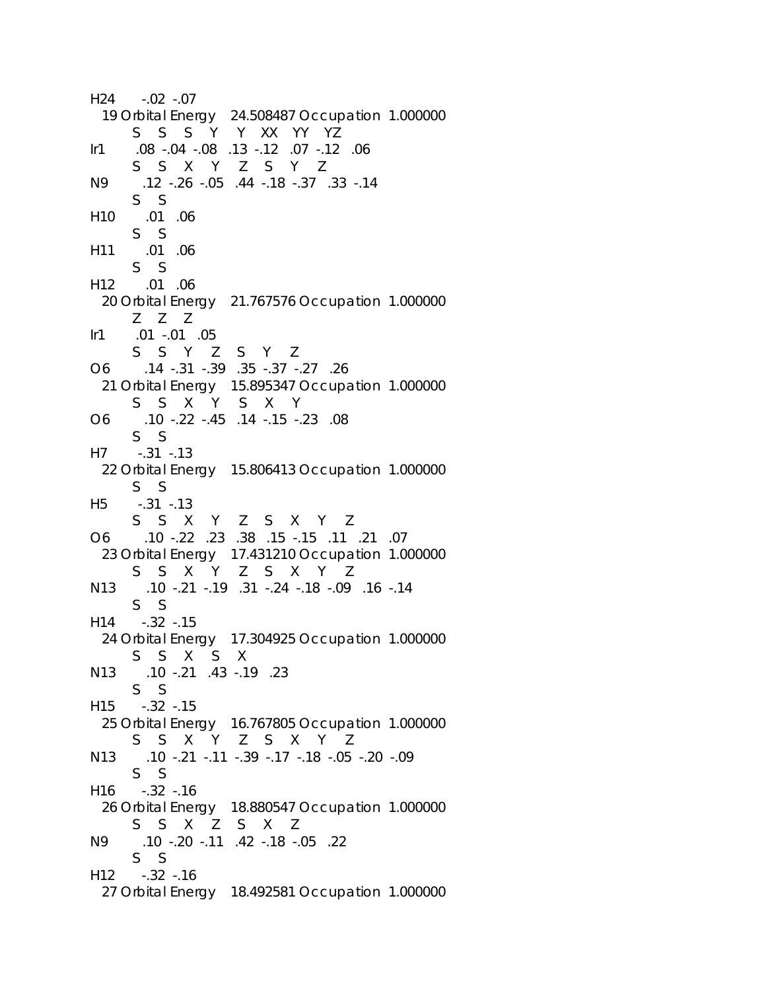```
H24 -.02 -.07 
  19 Orbital Energy 24.508487 Occupation 1.000000 
      S S S Y Y XX YY YZ 
Ir1 .08 -.04 -.08 .13 -.12 .07 -.12 .06 
      S S X Y Z S Y Z 
N9 .12 -.26 -.05 .44 -.18 -.37 .33 -.14 
      S S 
H10 .01 .06 
      S S 
H11 .01 .06 
      S S 
H12 .01 .06 
  20 Orbital Energy 21.767576 Occupation 1.000000 
      Z Z Z 
Ir1 .01 -.01 .05 
      S S Y Z S Y Z 
O6 .14 -.31 -.39 .35 -.37 -.27 .26 
  21 Orbital Energy 15.895347 Occupation 1.000000 
      S S X Y S X Y 
O6 .10 -.22 -.45 .14 -.15 -.23 .08 
      S S 
H7 -.31 -.13 
  22 Orbital Energy 15.806413 Occupation 1.000000 
      S S 
H5 -.31 -.13 
      S S X Y Z S X Y Z 
O6 .10 -.22 .23 .38 .15 -.15 .11 .21 .07 
  23 Orbital Energy 17.431210 Occupation 1.000000 
      S S X Y Z S X Y Z 
N13 .10 -.21 -.19 .31 -.24 -.18 -.09 .16 -.14 
      S S 
H14 -.32 -.15 
  24 Orbital Energy 17.304925 Occupation 1.000000 
      S S X S X 
N13 .10 -.21 .43 -.19 .23 
      S S 
H15 -.32 -.15 
  25 Orbital Energy 16.767805 Occupation 1.000000 
      S S X Y Z S X Y Z 
N13 .10 -.21 -.11 -.39 -.17 -.18 -.05 -.20 -.09 
      S S 
H16 -.32 -.16 
  26 Orbital Energy 18.880547 Occupation 1.000000 
      S S X Z S X Z 
N9 .10 -.20 -.11 .42 -.18 -.05 .22 
      S S 
H12 -.32 -.16 
  27 Orbital Energy 18.492581 Occupation 1.000000
```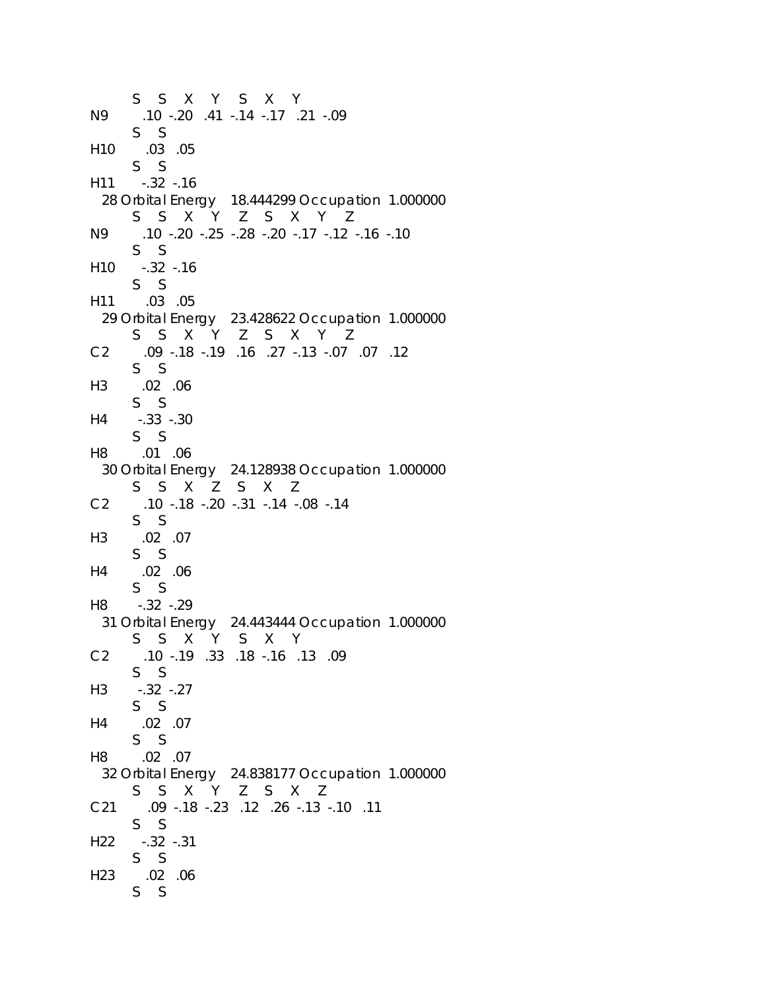```
 S S X Y S X Y 
N9 .10 -.20 .41 -.14 -.17 .21 -.09 
      S S 
H10 .03 .05 
      S S 
H11 -.32 -.16 
  28 Orbital Energy 18.444299 Occupation 1.000000 
      S S X Y Z S X Y Z 
N9 .10 -.20 -.25 -.28 -.20 -.17 -.12 -.16 -.10 
      S S 
H10 -.32 -.16 
      S S 
H11 .03 .05 
  29 Orbital Energy 23.428622 Occupation 1.000000 
      S S X Y Z S X Y Z 
C2 .09 -.18 -.19 .16 .27 -.13 -.07 .07 .12 
      S S 
H3 .02 .06 
      S S 
H4 -.33 -.30 
      S S 
H8 .01 .06 
  30 Orbital Energy 24.128938 Occupation 1.000000 
      S S X Z S X Z 
C2 .10 -.18 -.20 -.31 -.14 -.08 -.14 
      S S 
H3 .02 .07 
      S S 
H4 .02 .06 
      S S 
H8 -.32 -.29 
  31 Orbital Energy 24.443444 Occupation 1.000000 
      S S X Y S X Y 
C2 .10 -.19 .33 .18 -.16 .13 .09 
      S S 
H3 -.32 -.27 
      S S 
H4 .02 .07 
      S S 
H8 .02 .07 
  32 Orbital Energy 24.838177 Occupation 1.000000 
      S S X Y Z S X Z 
C21 .09 -.18 -.23 .12 .26 -.13 -.10 .11 
      S S 
H22 -.32 -.31 
      S S 
H23 .02 .06 
      S S
```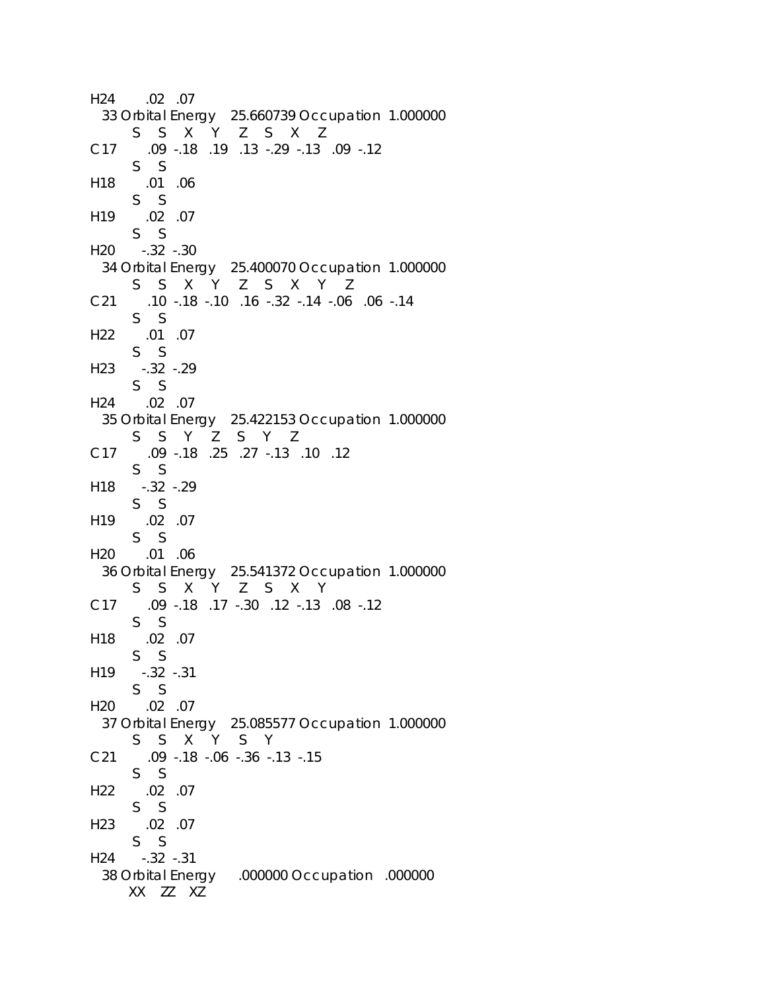```
H24 .02 .07 
  33 Orbital Energy 25.660739 Occupation 1.000000 
      S S X Y Z S X Z 
C17 .09 -.18 .19 .13 -.29 -.13 .09 -.12 
      S S 
H18 .01 .06 
      S S 
H19 .02 .07 
      S S 
H20 -.32 -.30 
  34 Orbital Energy 25.400070 Occupation 1.000000 
      S S X Y Z S X Y Z 
C21 .10 -.18 -.10 .16 -.32 -.14 -.06 .06 -.14 
      S S 
H22 .01 .07 
      S S 
H23 -.32 -.29 
      S S 
H24 .02 .07 
  35 Orbital Energy 25.422153 Occupation 1.000000 
      S S Y Z S Y Z 
C17 .09 -.18 .25 .27 -.13 .10 .12 
      S S 
H18 -.32 -.29 
      S S 
H19 .02 .07 
      S S 
H20 .01 .06 
  36 Orbital Energy 25.541372 Occupation 1.000000 
      S S X Y Z S X Y 
C17 .09 -.18 .17 -.30 .12 -.13 .08 -.12 
      S S 
H18 .02 .07 
      S S 
H19 -.32 -.31 
      S S 
H20 .02 .07 
  37 Orbital Energy 25.085577 Occupation 1.000000 
      S S X Y S Y 
C21 .09 -.18 -.06 -.36 -.13 -.15 
      S S 
H22 .02 .07 
      S S 
H23 .02 .07 
      S S 
H24 -.32 -.31 
  38 Orbital Energy .000000 Occupation .000000 
     XX ZZ XZ
```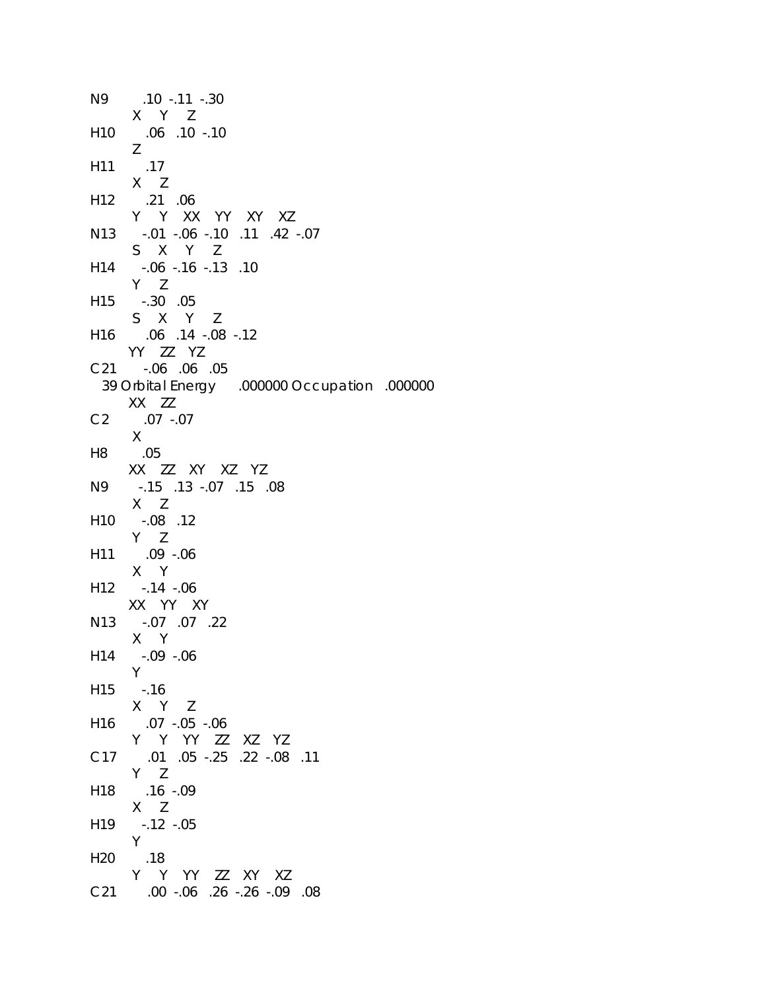| N9              | .10 -.11 -.30                                                   |
|-----------------|-----------------------------------------------------------------|
|                 | X Y Z                                                           |
| H <sub>10</sub> | .06 .10 -.10                                                    |
|                 | Ζ                                                               |
| H11             | .17                                                             |
|                 | $X$ $Z$                                                         |
| H <sub>12</sub> | $.21$ .06                                                       |
| N <sub>13</sub> | Y Y XX YY XY XZ<br>$-0.01 - 0.06 - 0.10$ $-0.11$ $-0.42 - 0.07$ |
|                 | S X Y Z                                                         |
| H14             | $-06$ $-16$ $-13$ $-10$                                         |
|                 | $Y$ $Z$                                                         |
| H15             | $-.30$ .05                                                      |
|                 | S X Y Z                                                         |
|                 | H16 .06 .14 -.08 -.12                                           |
|                 | YY ZZ YZ                                                        |
|                 | C21 -.06 .06 .05                                                |
|                 | 39 Orbital Energy .000000 Occupation .000000                    |
|                 | XX ZZ                                                           |
| C2              | $.07 - .07$                                                     |
|                 | X                                                               |
| H8              | .05                                                             |
|                 | XX ZZ XY XZ YZ                                                  |
| N9              | .15 .13 .07 .15 .08                                             |
|                 | $X$ $Z$                                                         |
| H <sub>10</sub> | $-.08$ .12<br>$Y$ $Z$                                           |
| H <sub>11</sub> | $.09 - .06$                                                     |
|                 | X Y                                                             |
|                 | H12 -.14 -.06                                                   |
|                 | XX YY XY                                                        |
|                 | N13 -.07 .07 .22                                                |
|                 | $X$ Y                                                           |
| H14             | $-.09 - .06$                                                    |
|                 | Y                                                               |
| H15             | $-.16$                                                          |
|                 | X Y Z                                                           |
| H <sub>16</sub> | $.07 - .05 - .06$                                               |
|                 | Y Y YY ZZ XZ YZ                                                 |
| C17             | .01 .05 .25 .22 .08 .11<br>$Y$ $Z$                              |
|                 | $.16 - .09$                                                     |
| H <sub>18</sub> | $X$ $Z$                                                         |
| H <sub>19</sub> | $-0.12 - 0.05$                                                  |
|                 | Y.                                                              |
| H <sub>20</sub> | .18                                                             |
|                 | Y Y YY ZZ XY XZ                                                 |
| C <sub>21</sub> | 08. 09. 26. 26. 26. 09. 00.                                     |